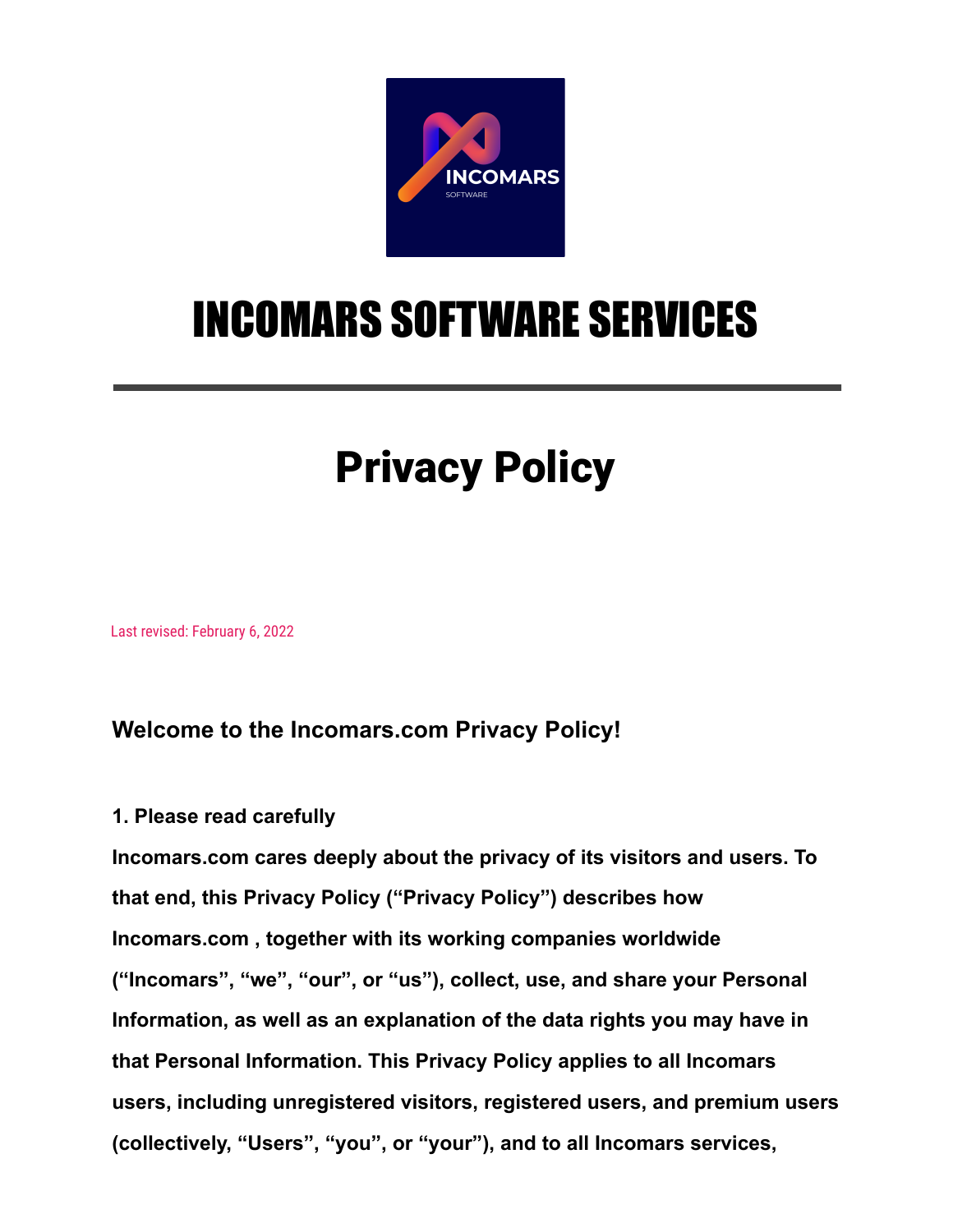

# INCOMARS SOFTWARE SERVICES

# Privacy Policy

Last revised: February 6, 2022

# **Welcome to the Incomars.com Privacy Policy!**

## **1. Please read carefully**

**Incomars.com cares deeply about the privacy of its visitors and users. To that end, this Privacy Policy ("Privacy Policy") describes how Incomars.com , together with its working companies worldwide ("Incomars", "we", "our", or "us"), collect, use, and share your Personal Information, as well as an explanation of the data rights you may have in that Personal Information. This Privacy Policy applies to all Incomars users, including unregistered visitors, registered users, and premium users (collectively, "Users", "you", or "your"), and to all Incomars services,**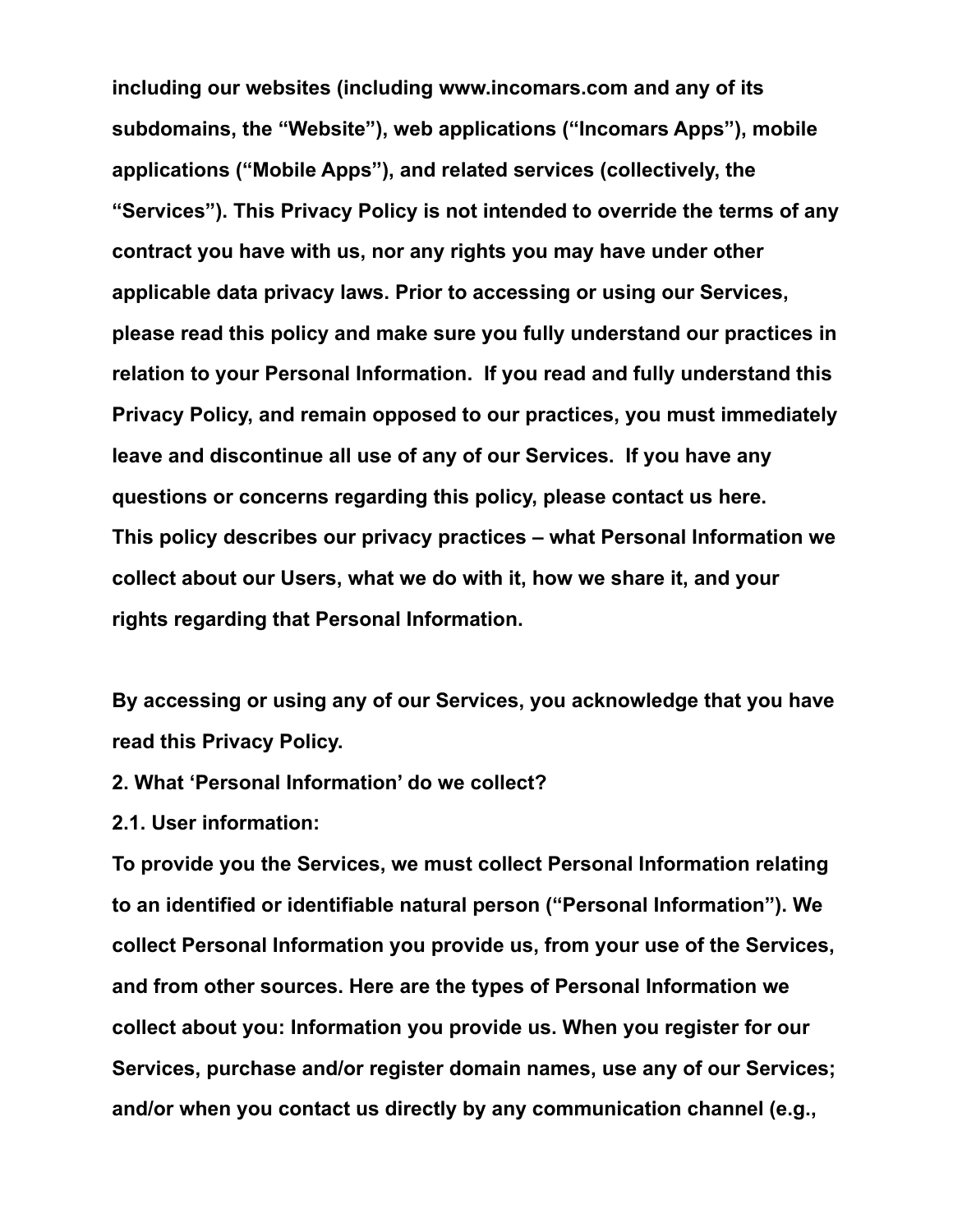**including our websites (including www.incomars.com and any of its subdomains, the "Website"), web applications ("Incomars Apps"), mobile applications ("Mobile Apps"), and related services (collectively, the "Services"). This Privacy Policy is not intended to override the terms of any contract you have with us, nor any rights you may have under other applicable data privacy laws. Prior to accessing or using our Services, please read this policy and make sure you fully understand our practices in relation to your Personal Information. If you read and fully understand this Privacy Policy, and remain opposed to our practices, you must immediately leave and discontinue all use of any of our Services. If you have any questions or concerns regarding this policy, please contact us here. This policy describes our privacy practices – what Personal Information we collect about our Users, what we do with it, how we share it, and your rights regarding that Personal Information.**

**By accessing or using any of our Services, you acknowledge that you have read this Privacy Policy.**

- **2. What 'Personal Information' do we collect?**
- **2.1. User information:**

**To provide you the Services, we must collect Personal Information relating to an identified or identifiable natural person ("Personal Information"). We collect Personal Information you provide us, from your use of the Services, and from other sources. Here are the types of Personal Information we collect about you: Information you provide us. When you register for our Services, purchase and/or register domain names, use any of our Services; and/or when you contact us directly by any communication channel (e.g.,**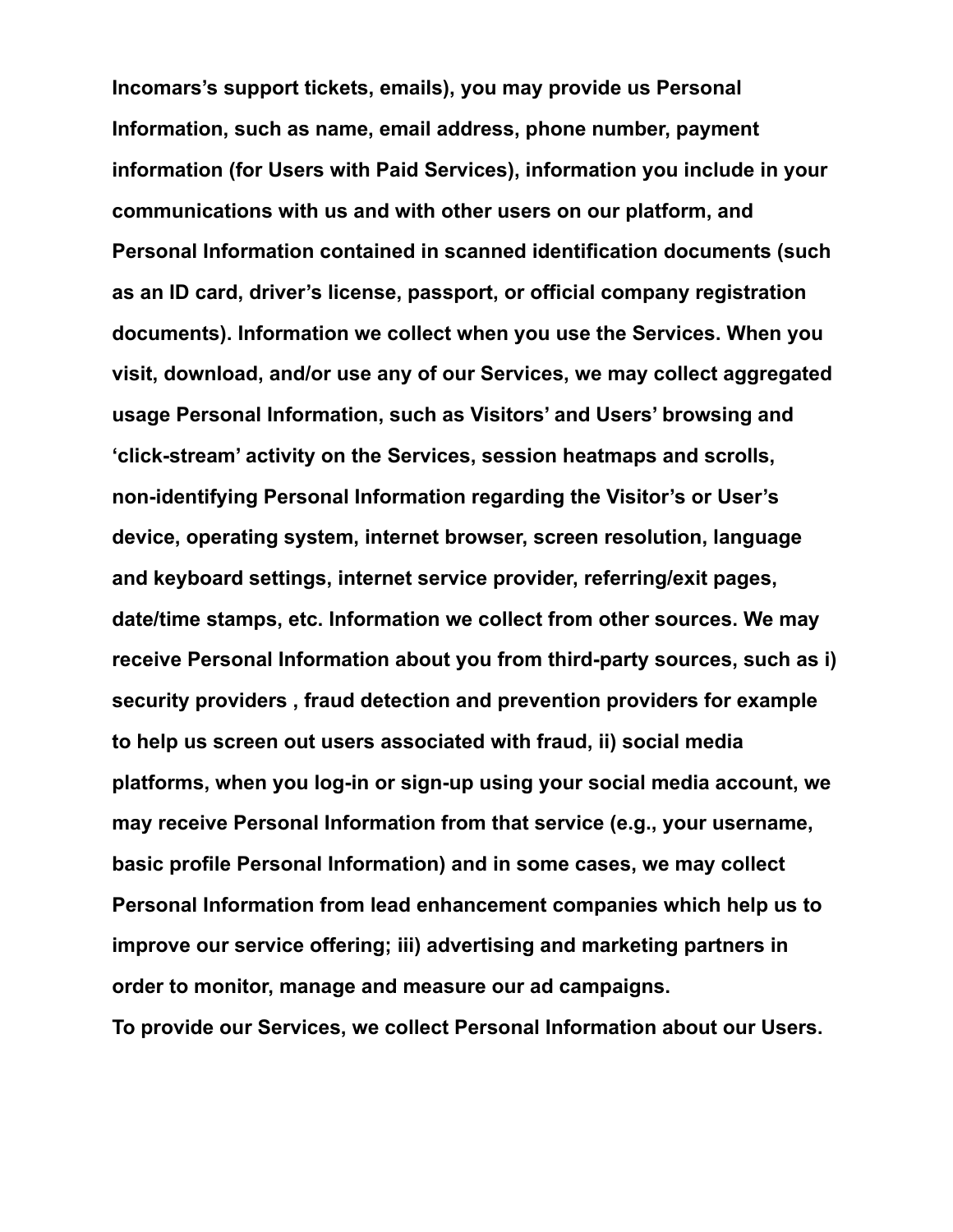**Incomars's support tickets, emails), you may provide us Personal Information, such as name, email address, phone number, payment information (for Users with Paid Services), information you include in your communications with us and with other users on our platform, and Personal Information contained in scanned identification documents (such as an ID card, driver's license, passport, or official company registration documents). Information we collect when you use the Services. When you visit, download, and/or use any of our Services, we may collect aggregated usage Personal Information, such as Visitors' and Users' browsing and 'click-stream' activity on the Services, session heatmaps and scrolls, non-identifying Personal Information regarding the Visitor's or User's device, operating system, internet browser, screen resolution, language and keyboard settings, internet service provider, referring/exit pages, date/time stamps, etc. Information we collect from other sources. We may receive Personal Information about you from third-party sources, such as i) security providers , fraud detection and prevention providers for example to help us screen out users associated with fraud, ii) social media platforms, when you log-in or sign-up using your social media account, we may receive Personal Information from that service (e.g., your username, basic profile Personal Information) and in some cases, we may collect Personal Information from lead enhancement companies which help us to improve our service offering; iii) advertising and marketing partners in order to monitor, manage and measure our ad campaigns. To provide our Services, we collect Personal Information about our Users.**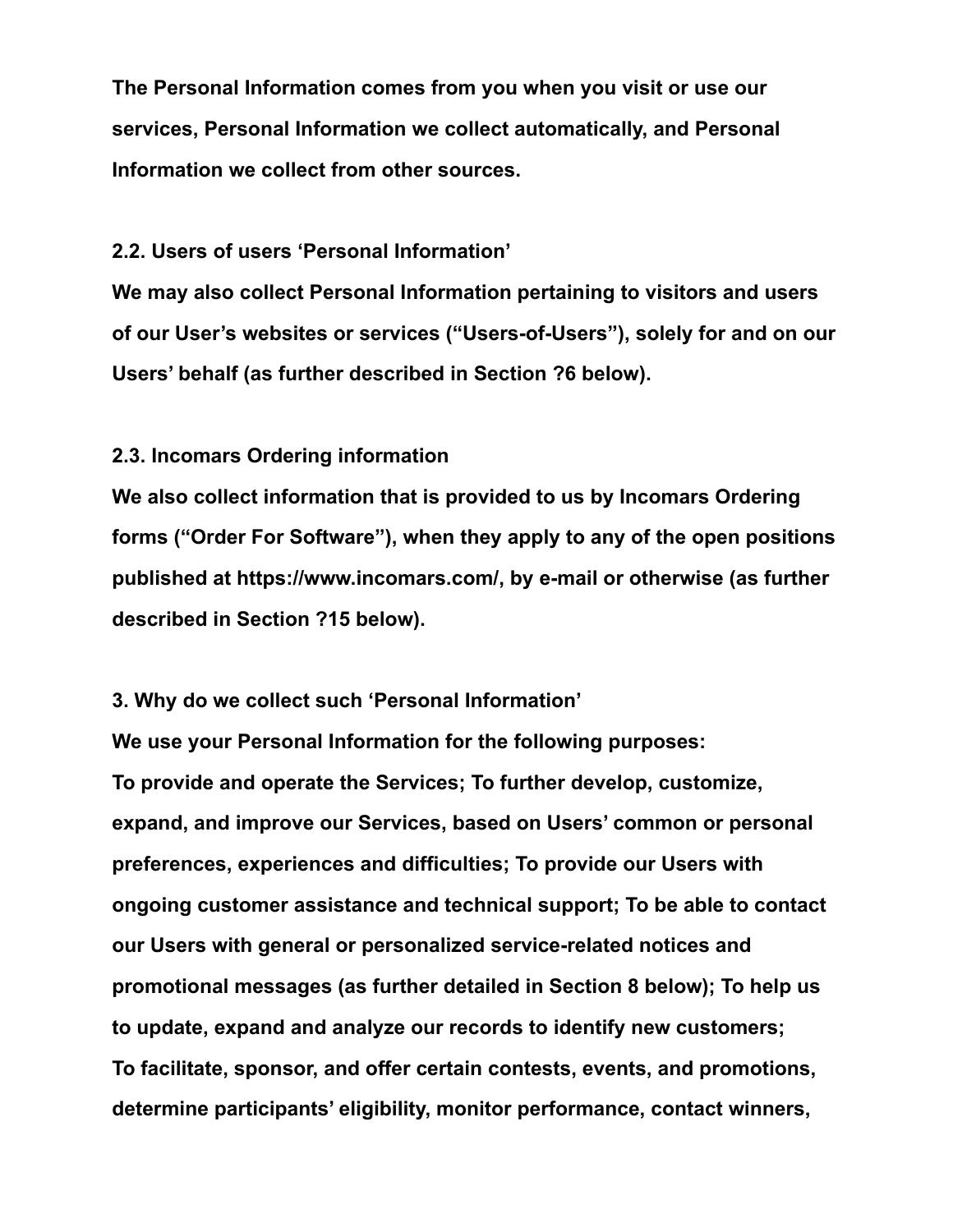**The Personal Information comes from you when you visit or use our services, Personal Information we collect automatically, and Personal Information we collect from other sources.**

**2.2. Users of users 'Personal Information'**

**We may also collect Personal Information pertaining to visitors and users of our User's websites or services ("Users-of-Users"), solely for and on our Users' behalf (as further described in Section ?6 below).**

## **2.3. Incomars Ordering information**

**We also collect information that is provided to us by Incomars Ordering forms ("Order For Software"), when they apply to any of the open positions published at https://www.incomars.com/, by e-mail or otherwise (as further described in Section ?15 below).**

**3. Why do we collect such 'Personal Information'**

**We use your Personal Information for the following purposes: To provide and operate the Services; To further develop, customize, expand, and improve our Services, based on Users' common or personal preferences, experiences and difficulties; To provide our Users with ongoing customer assistance and technical support; To be able to contact our Users with general or personalized service-related notices and promotional messages (as further detailed in Section 8 below); To help us to update, expand and analyze our records to identify new customers; To facilitate, sponsor, and offer certain contests, events, and promotions, determine participants' eligibility, monitor performance, contact winners,**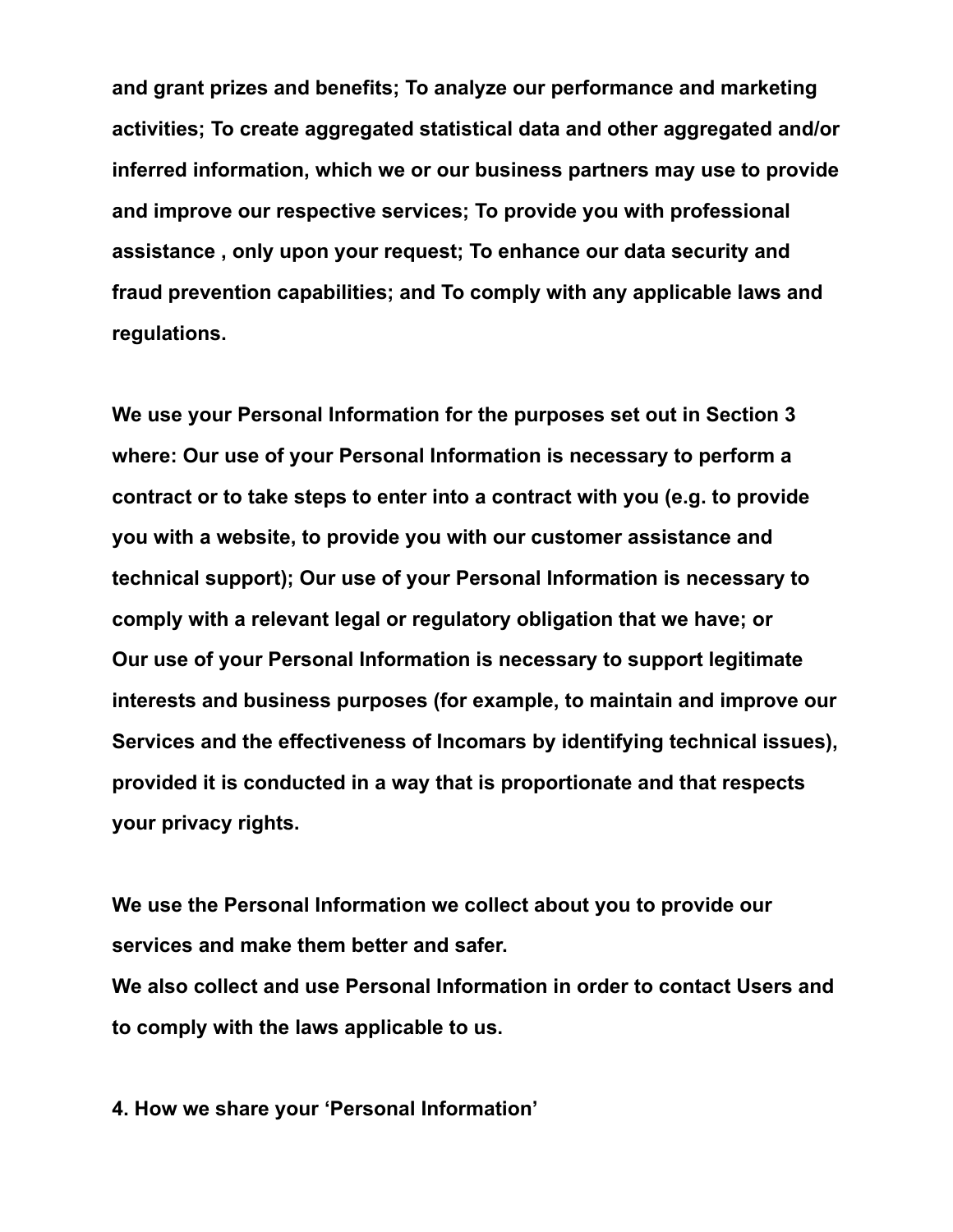**and grant prizes and benefits; To analyze our performance and marketing activities; To create aggregated statistical data and other aggregated and/or inferred information, which we or our business partners may use to provide and improve our respective services; To provide you with professional assistance , only upon your request; To enhance our data security and fraud prevention capabilities; and To comply with any applicable laws and regulations.**

**We use your Personal Information for the purposes set out in Section 3 where: Our use of your Personal Information is necessary to perform a contract or to take steps to enter into a contract with you (e.g. to provide you with a website, to provide you with our customer assistance and technical support); Our use of your Personal Information is necessary to comply with a relevant legal or regulatory obligation that we have; or Our use of your Personal Information is necessary to support legitimate interests and business purposes (for example, to maintain and improve our Services and the effectiveness of Incomars by identifying technical issues), provided it is conducted in a way that is proportionate and that respects your privacy rights.**

**We use the Personal Information we collect about you to provide our services and make them better and safer.**

**We also collect and use Personal Information in order to contact Users and to comply with the laws applicable to us.**

**4. How we share your 'Personal Information'**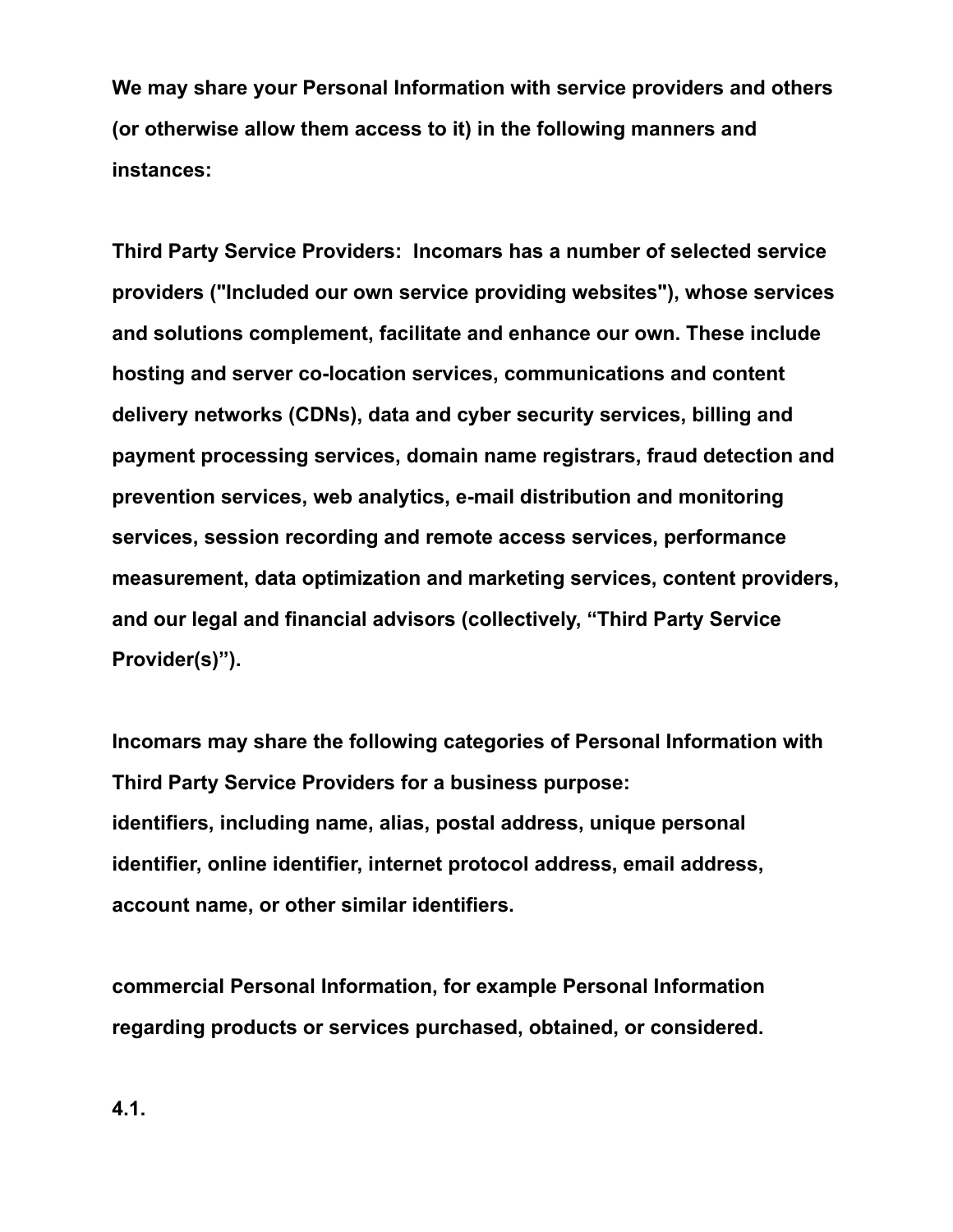**We may share your Personal Information with service providers and others (or otherwise allow them access to it) in the following manners and instances:**

**Third Party Service Providers: Incomars has a number of selected service providers ("Included our own service providing websites"), whose services and solutions complement, facilitate and enhance our own. These include hosting and server co-location services, communications and content delivery networks (CDNs), data and cyber security services, billing and payment processing services, domain name registrars, fraud detection and prevention services, web analytics, e-mail distribution and monitoring services, session recording and remote access services, performance measurement, data optimization and marketing services, content providers, and our legal and financial advisors (collectively, "Third Party Service Provider(s)").**

**Incomars may share the following categories of Personal Information with Third Party Service Providers for a business purpose: identifiers, including name, alias, postal address, unique personal identifier, online identifier, internet protocol address, email address, account name, or other similar identifiers.**

**commercial Personal Information, for example Personal Information regarding products or services purchased, obtained, or considered.**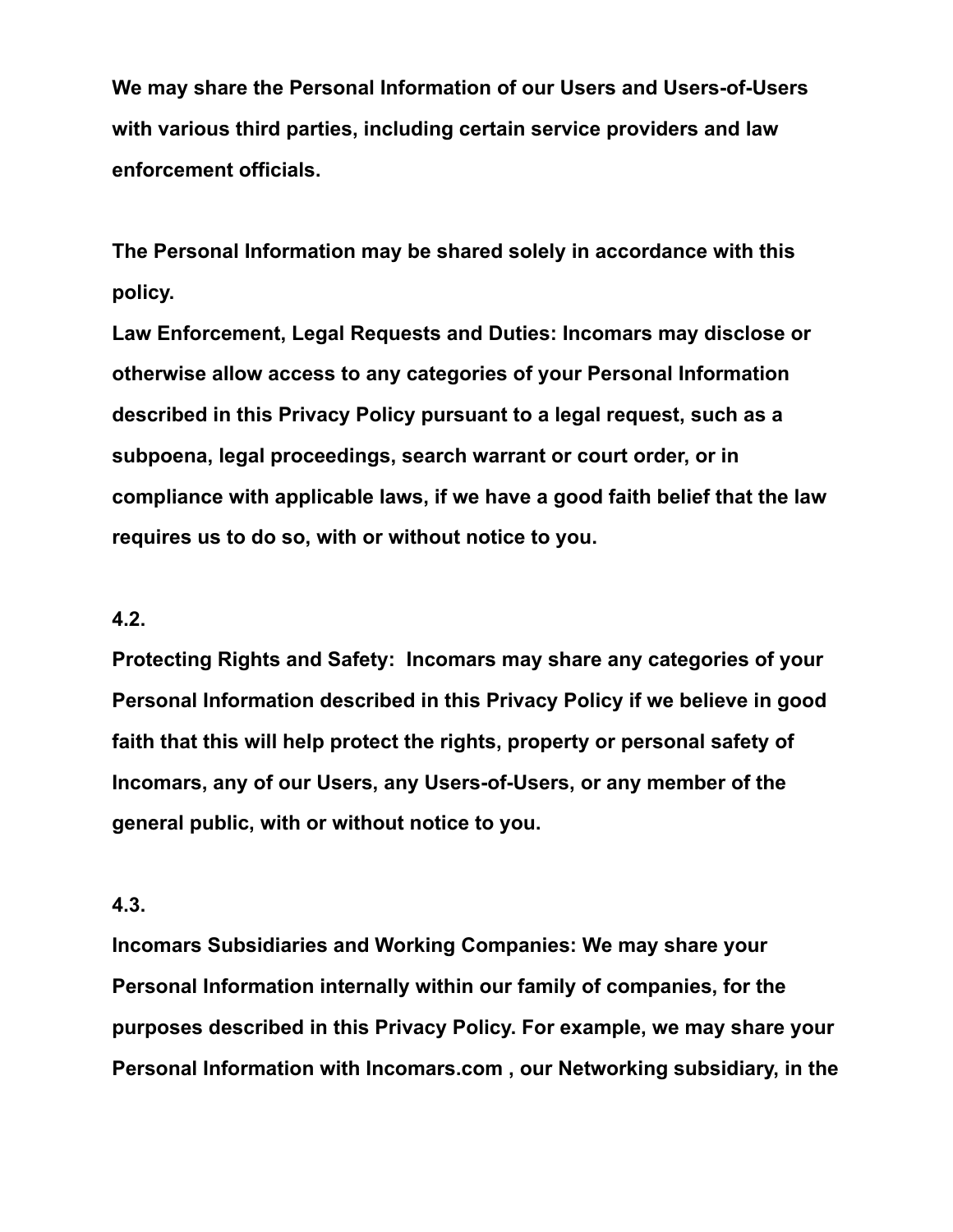**We may share the Personal Information of our Users and Users-of-Users with various third parties, including certain service providers and law enforcement officials.**

**The Personal Information may be shared solely in accordance with this policy.**

**Law Enforcement, Legal Requests and Duties: Incomars may disclose or otherwise allow access to any categories of your Personal Information described in this Privacy Policy pursuant to a legal request, such as a subpoena, legal proceedings, search warrant or court order, or in compliance with applicable laws, if we have a good faith belief that the law requires us to do so, with or without notice to you.**

#### **4.2.**

**Protecting Rights and Safety: Incomars may share any categories of your Personal Information described in this Privacy Policy if we believe in good faith that this will help protect the rights, property or personal safety of Incomars, any of our Users, any Users-of-Users, or any member of the general public, with or without notice to you.**

#### **4.3.**

**Incomars Subsidiaries and Working Companies: We may share your Personal Information internally within our family of companies, for the purposes described in this Privacy Policy. For example, we may share your Personal Information with Incomars.com , our Networking subsidiary, in the**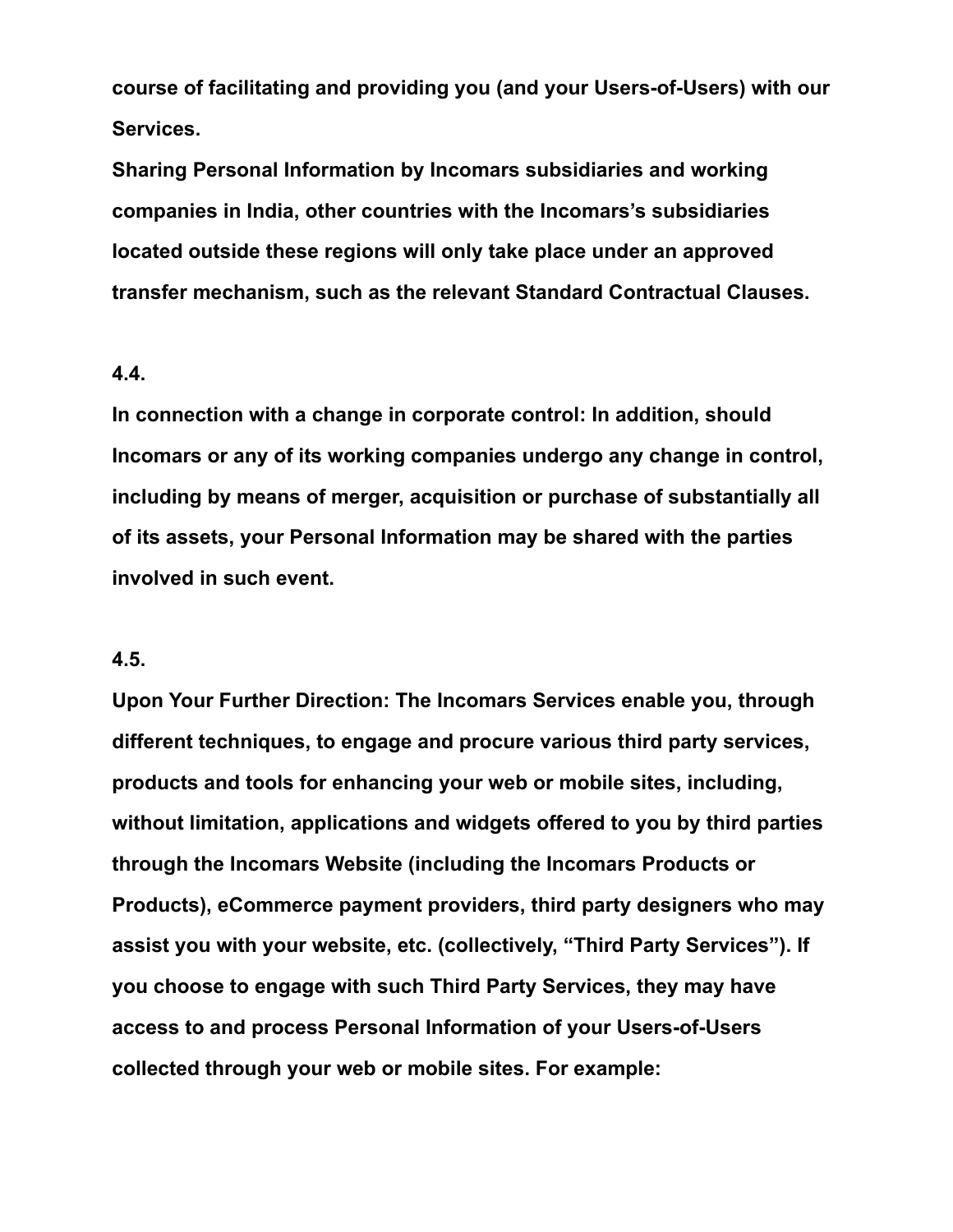**course of facilitating and providing you (and your Users-of-Users) with our Services.**

**Sharing Personal Information by Incomars subsidiaries and working companies in India, other countries with the Incomars's subsidiaries located outside these regions will only take place under an approved transfer mechanism, such as the relevant Standard Contractual Clauses.**

#### **4.4.**

**In connection with a change in corporate control: In addition, should Incomars or any of its working companies undergo any change in control, including by means of merger, acquisition or purchase of substantially all of its assets, your Personal Information may be shared with the parties involved in such event.**

#### **4.5.**

**Upon Your Further Direction: The Incomars Services enable you, through different techniques, to engage and procure various third party services, products and tools for enhancing your web or mobile sites, including, without limitation, applications and widgets offered to you by third parties through the Incomars Website (including the Incomars Products or Products), eCommerce payment providers, third party designers who may assist you with your website, etc. (collectively, "Third Party Services"). If you choose to engage with such Third Party Services, they may have access to and process Personal Information of your Users-of-Users collected through your web or mobile sites. For example:**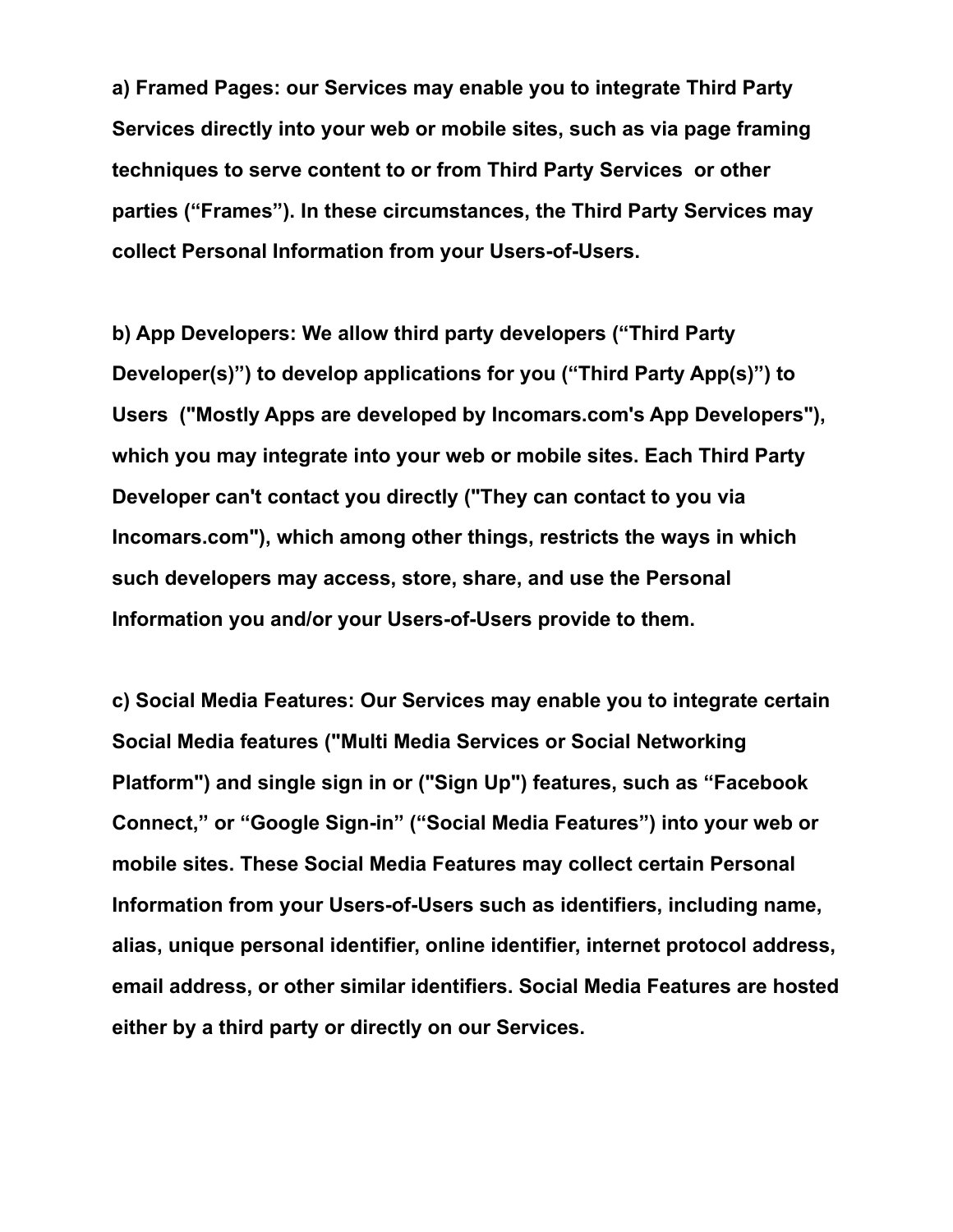**a) Framed Pages: our Services may enable you to integrate Third Party Services directly into your web or mobile sites, such as via page framing techniques to serve content to or from Third Party Services or other parties ("Frames"). In these circumstances, the Third Party Services may collect Personal Information from your Users-of-Users.**

**b) App Developers: We allow third party developers ("Third Party Developer(s)") to develop applications for you ("Third Party App(s)") to Users ("Mostly Apps are developed by Incomars.com's App Developers"), which you may integrate into your web or mobile sites. Each Third Party Developer can't contact you directly ("They can contact to you via Incomars.com"), which among other things, restricts the ways in which such developers may access, store, share, and use the Personal Information you and/or your Users-of-Users provide to them.**

**c) Social Media Features: Our Services may enable you to integrate certain Social Media features ("Multi Media Services or Social Networking Platform") and single sign in or ("Sign Up") features, such as "Facebook Connect," or "Google Sign-in" ("Social Media Features") into your web or mobile sites. These Social Media Features may collect certain Personal Information from your Users-of-Users such as identifiers, including name, alias, unique personal identifier, online identifier, internet protocol address, email address, or other similar identifiers. Social Media Features are hosted either by a third party or directly on our Services.**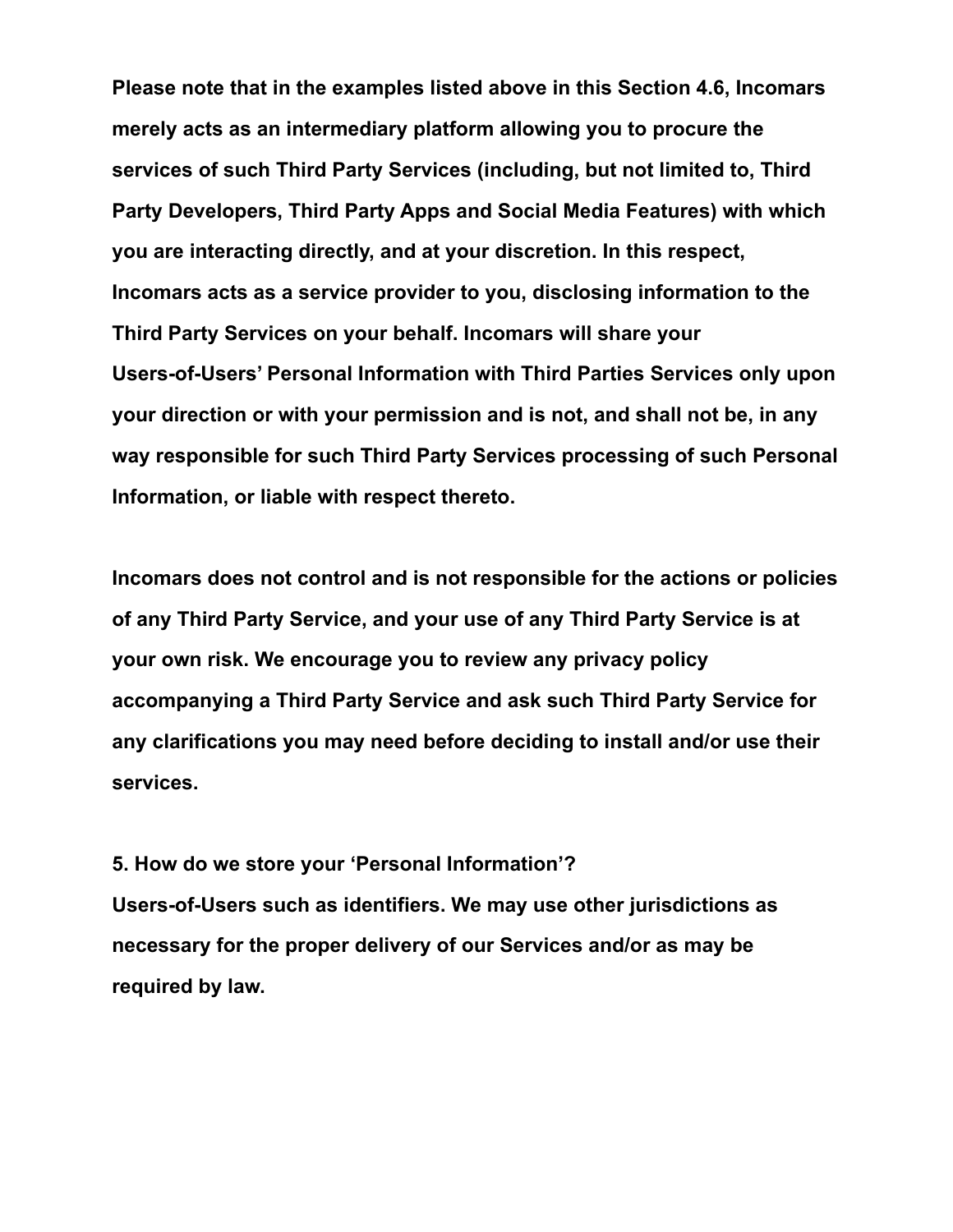**Please note that in the examples listed above in this Section 4.6, Incomars merely acts as an intermediary platform allowing you to procure the services of such Third Party Services (including, but not limited to, Third Party Developers, Third Party Apps and Social Media Features) with which you are interacting directly, and at your discretion. In this respect, Incomars acts as a service provider to you, disclosing information to the Third Party Services on your behalf. Incomars will share your Users-of-Users' Personal Information with Third Parties Services only upon your direction or with your permission and is not, and shall not be, in any way responsible for such Third Party Services processing of such Personal Information, or liable with respect thereto.**

**Incomars does not control and is not responsible for the actions or policies of any Third Party Service, and your use of any Third Party Service is at your own risk. We encourage you to review any privacy policy accompanying a Third Party Service and ask such Third Party Service for any clarifications you may need before deciding to install and/or use their services.**

**5. How do we store your 'Personal Information'? Users-of-Users such as identifiers. We may use other jurisdictions as necessary for the proper delivery of our Services and/or as may be required by law.**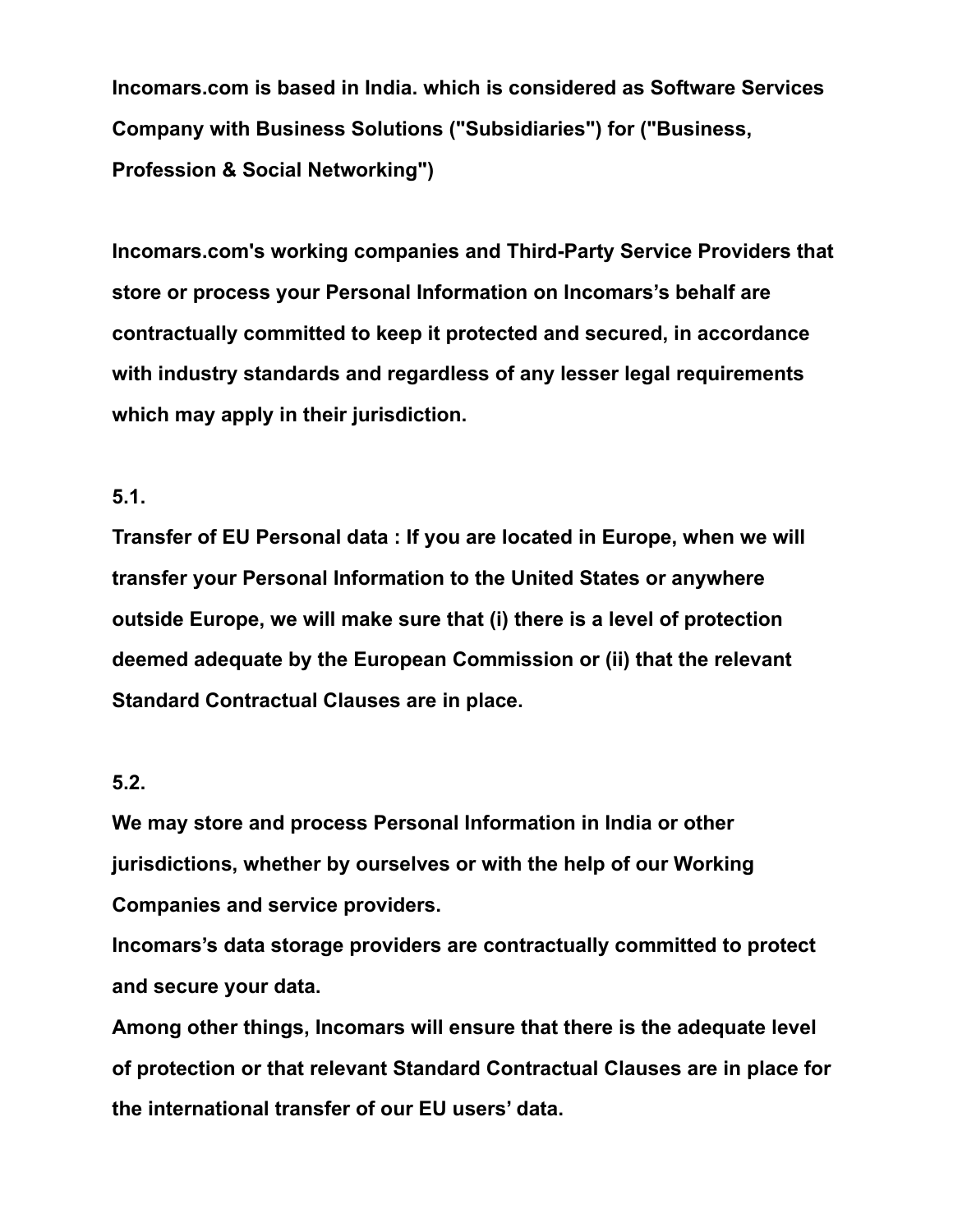**Incomars.com is based in India. which is considered as Software Services Company with Business Solutions ("Subsidiaries") for ("Business, Profession & Social Networking")**

**Incomars.com's working companies and Third-Party Service Providers that store or process your Personal Information on Incomars's behalf are contractually committed to keep it protected and secured, in accordance with industry standards and regardless of any lesser legal requirements which may apply in their jurisdiction.**

### **5.1.**

**Transfer of EU Personal data : If you are located in Europe, when we will transfer your Personal Information to the United States or anywhere outside Europe, we will make sure that (i) there is a level of protection deemed adequate by the European Commission or (ii) that the relevant Standard Contractual Clauses are in place.**

### **5.2.**

**We may store and process Personal Information in India or other jurisdictions, whether by ourselves or with the help of our Working Companies and service providers.**

**Incomars's data storage providers are contractually committed to protect and secure your data.**

**Among other things, Incomars will ensure that there is the adequate level of protection or that relevant Standard Contractual Clauses are in place for the international transfer of our EU users' data.**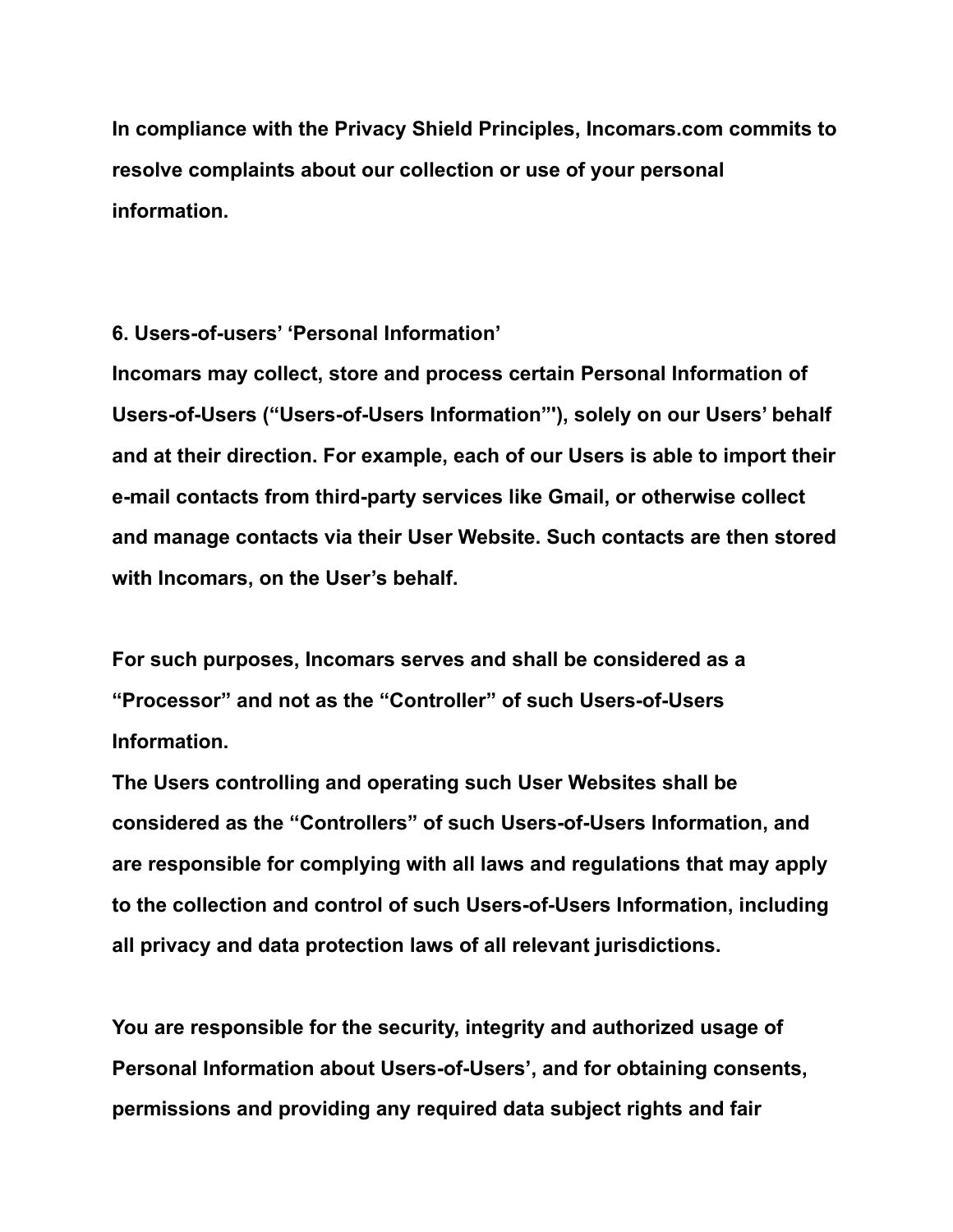**In compliance with the Privacy Shield Principles, Incomars.com commits to resolve complaints about our collection or use of your personal information.**

**6. Users-of-users' 'Personal Information'**

**Incomars may collect, store and process certain Personal Information of Users-of-Users ("Users-of-Users Information"'), solely on our Users' behalf and at their direction. For example, each of our Users is able to import their e-mail contacts from third-party services like Gmail, or otherwise collect and manage contacts via their User Website. Such contacts are then stored with Incomars, on the User's behalf.**

**For such purposes, Incomars serves and shall be considered as a "Processor" and not as the "Controller" of such Users-of-Users Information.**

**The Users controlling and operating such User Websites shall be considered as the "Controllers" of such Users-of-Users Information, and are responsible for complying with all laws and regulations that may apply to the collection and control of such Users-of-Users Information, including all privacy and data protection laws of all relevant jurisdictions.**

**You are responsible for the security, integrity and authorized usage of Personal Information about Users-of-Users', and for obtaining consents, permissions and providing any required data subject rights and fair**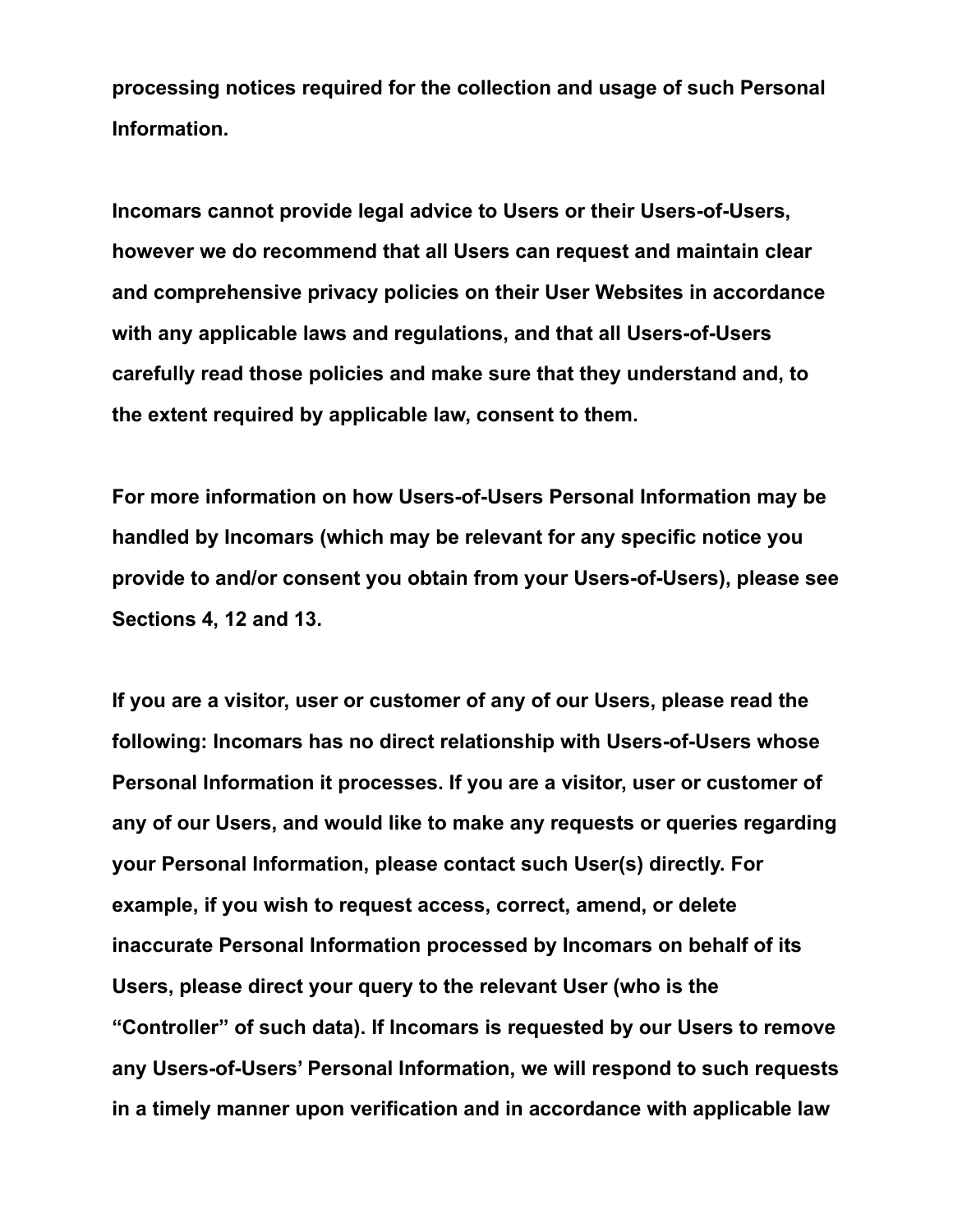**processing notices required for the collection and usage of such Personal Information.**

**Incomars cannot provide legal advice to Users or their Users-of-Users, however we do recommend that all Users can request and maintain clear and comprehensive privacy policies on their User Websites in accordance with any applicable laws and regulations, and that all Users-of-Users carefully read those policies and make sure that they understand and, to the extent required by applicable law, consent to them.**

**For more information on how Users-of-Users Personal Information may be handled by Incomars (which may be relevant for any specific notice you provide to and/or consent you obtain from your Users-of-Users), please see Sections 4, 12 and 13.**

**If you are a visitor, user or customer of any of our Users, please read the following: Incomars has no direct relationship with Users-of-Users whose Personal Information it processes. If you are a visitor, user or customer of any of our Users, and would like to make any requests or queries regarding your Personal Information, please contact such User(s) directly. For example, if you wish to request access, correct, amend, or delete inaccurate Personal Information processed by Incomars on behalf of its Users, please direct your query to the relevant User (who is the "Controller" of such data). If Incomars is requested by our Users to remove any Users-of-Users' Personal Information, we will respond to such requests in a timely manner upon verification and in accordance with applicable law**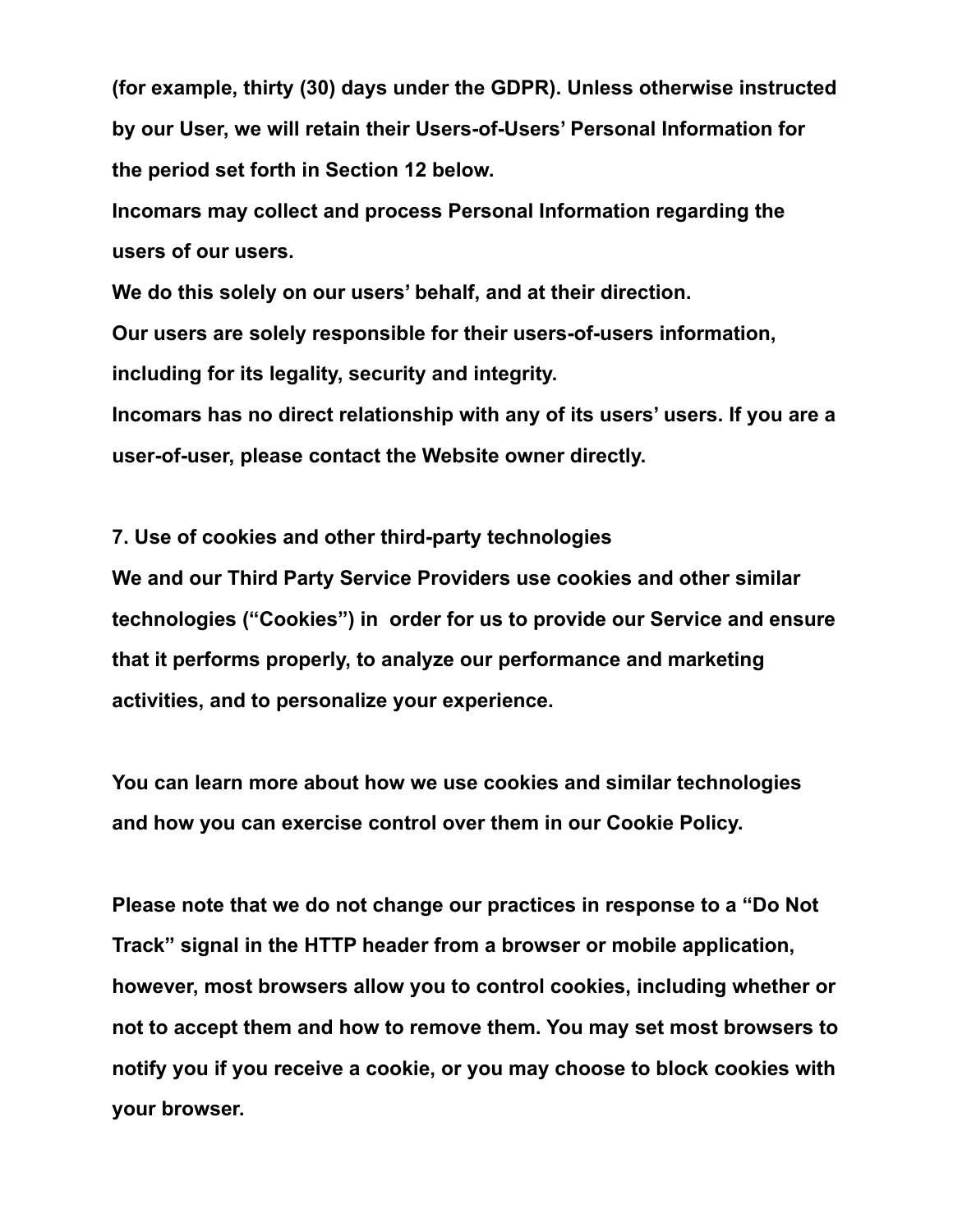**(for example, thirty (30) days under the GDPR). Unless otherwise instructed by our User, we will retain their Users-of-Users' Personal Information for the period set forth in Section 12 below.**

**Incomars may collect and process Personal Information regarding the users of our users.**

**We do this solely on our users' behalf, and at their direction.**

**Our users are solely responsible for their users-of-users information,**

**including for its legality, security and integrity.**

**Incomars has no direct relationship with any of its users' users. If you are a user-of-user, please contact the Website owner directly.**

**7. Use of cookies and other third-party technologies**

**We and our Third Party Service Providers use cookies and other similar technologies ("Cookies") in order for us to provide our Service and ensure that it performs properly, to analyze our performance and marketing activities, and to personalize your experience.**

**You can learn more about how we use cookies and similar technologies and how you can exercise control over them in our Cookie Policy.**

**Please note that we do not change our practices in response to a "Do Not Track" signal in the HTTP header from a browser or mobile application, however, most browsers allow you to control cookies, including whether or not to accept them and how to remove them. You may set most browsers to notify you if you receive a cookie, or you may choose to block cookies with your browser.**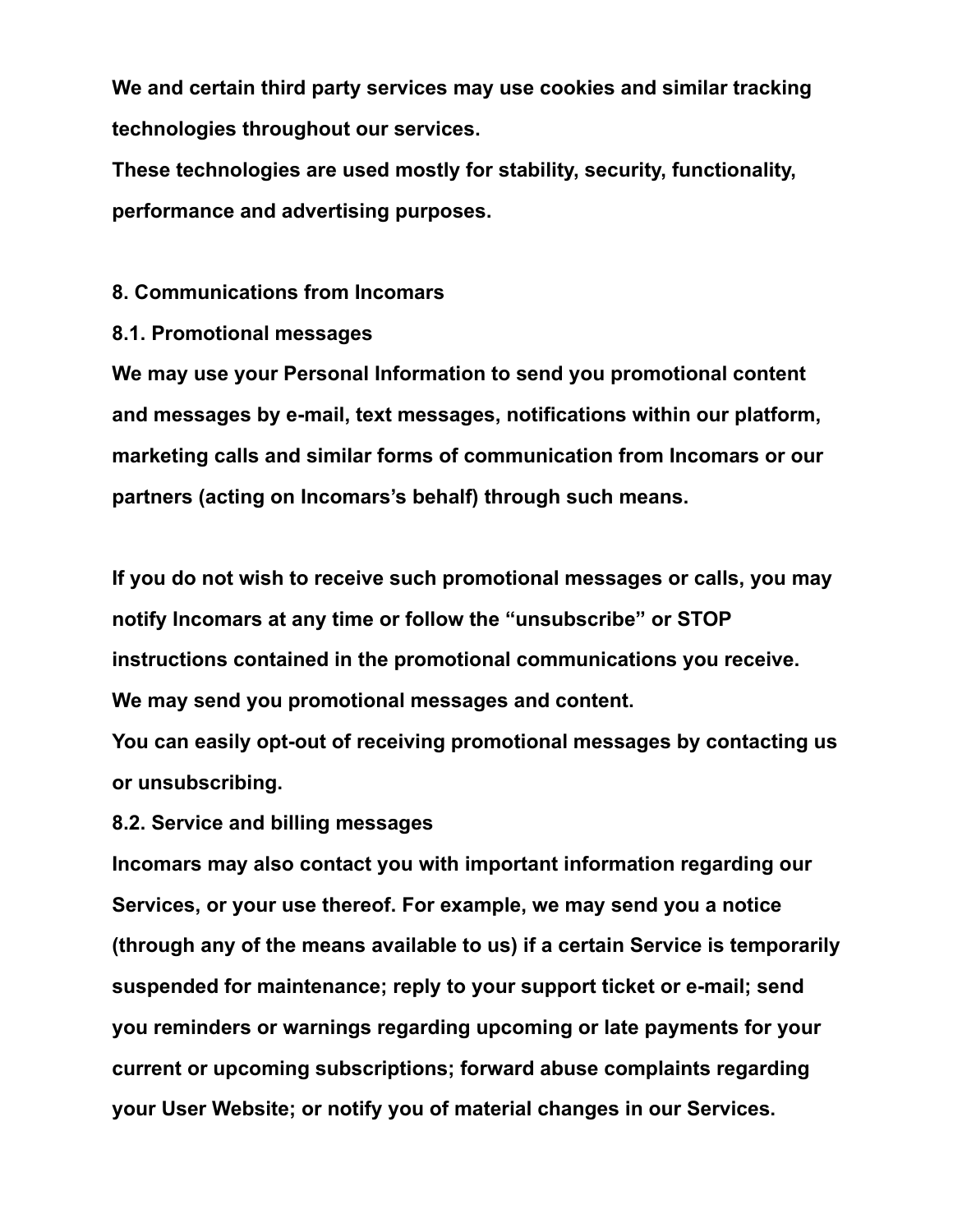**We and certain third party services may use cookies and similar tracking technologies throughout our services.**

**These technologies are used mostly for stability, security, functionality, performance and advertising purposes.**

#### **8. Communications from Incomars**

**8.1. Promotional messages**

**We may use your Personal Information to send you promotional content and messages by e-mail, text messages, notifications within our platform, marketing calls and similar forms of communication from Incomars or our partners (acting on Incomars's behalf) through such means.**

**If you do not wish to receive such promotional messages or calls, you may notify Incomars at any time or follow the "unsubscribe" or STOP instructions contained in the promotional communications you receive. We may send you promotional messages and content.**

**You can easily opt-out of receiving promotional messages by contacting us or unsubscribing.**

**8.2. Service and billing messages**

**Incomars may also contact you with important information regarding our Services, or your use thereof. For example, we may send you a notice (through any of the means available to us) if a certain Service is temporarily suspended for maintenance; reply to your support ticket or e-mail; send you reminders or warnings regarding upcoming or late payments for your current or upcoming subscriptions; forward abuse complaints regarding your User Website; or notify you of material changes in our Services.**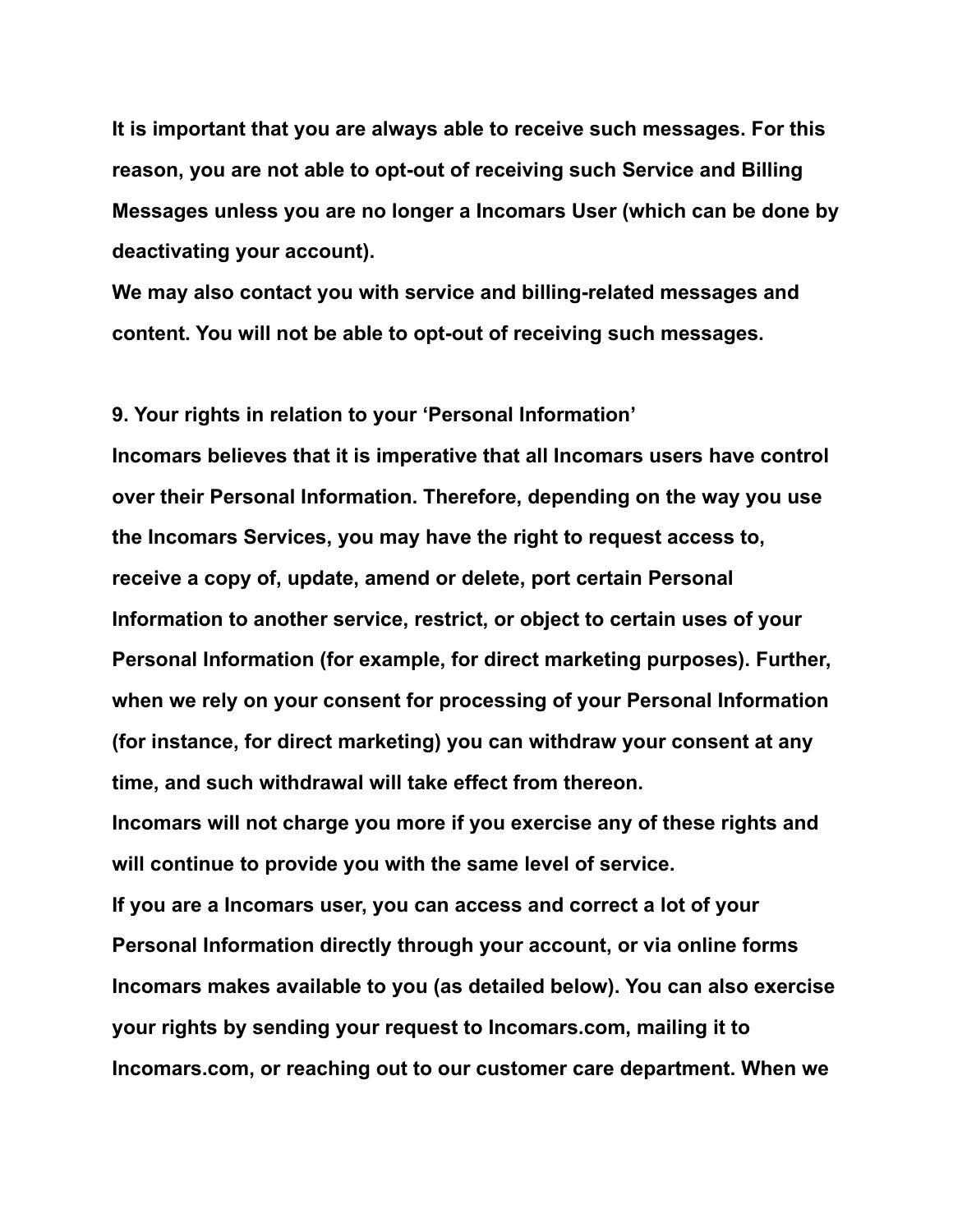**It is important that you are always able to receive such messages. For this reason, you are not able to opt-out of receiving such Service and Billing Messages unless you are no longer a Incomars User (which can be done by deactivating your account).**

**We may also contact you with service and billing-related messages and content. You will not be able to opt-out of receiving such messages.**

#### **9. Your rights in relation to your 'Personal Information'**

**Incomars believes that it is imperative that all Incomars users have control over their Personal Information. Therefore, depending on the way you use the Incomars Services, you may have the right to request access to, receive a copy of, update, amend or delete, port certain Personal Information to another service, restrict, or object to certain uses of your Personal Information (for example, for direct marketing purposes). Further, when we rely on your consent for processing of your Personal Information (for instance, for direct marketing) you can withdraw your consent at any time, and such withdrawal will take effect from thereon.**

**Incomars will not charge you more if you exercise any of these rights and will continue to provide you with the same level of service.**

**If you are a Incomars user, you can access and correct a lot of your Personal Information directly through your account, or via online forms Incomars makes available to you (as detailed below). You can also exercise your rights by sending your request to Incomars.com, mailing it to Incomars.com, or reaching out to our customer care department. When we**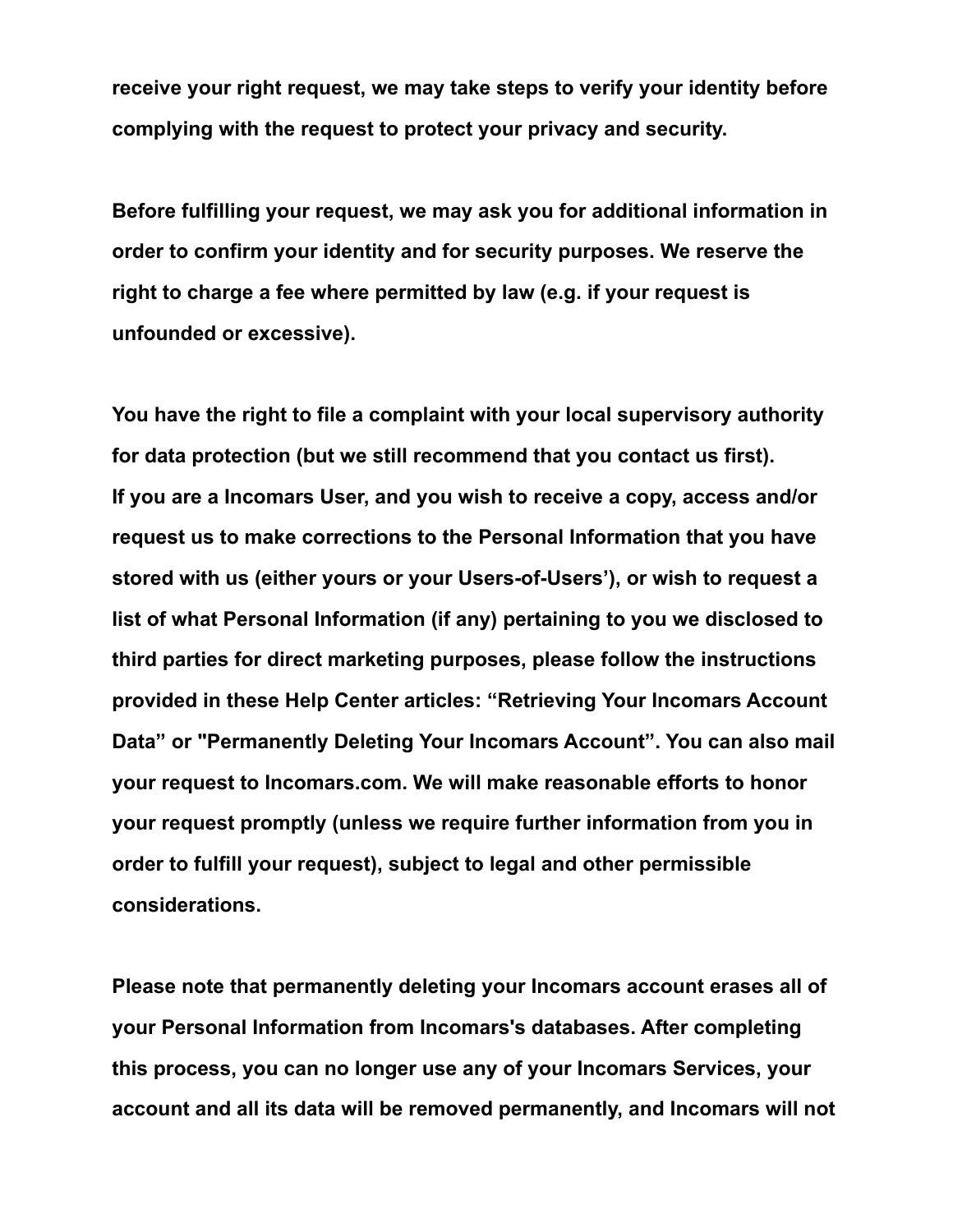**receive your right request, we may take steps to verify your identity before complying with the request to protect your privacy and security.**

**Before fulfilling your request, we may ask you for additional information in order to confirm your identity and for security purposes. We reserve the right to charge a fee where permitted by law (e.g. if your request is unfounded or excessive).**

**You have the right to file a complaint with your local supervisory authority for data protection (but we still recommend that you contact us first). If you are a Incomars User, and you wish to receive a copy, access and/or request us to make corrections to the Personal Information that you have stored with us (either yours or your Users-of-Users'), or wish to request a list of what Personal Information (if any) pertaining to you we disclosed to third parties for direct marketing purposes, please follow the instructions provided in these Help Center articles: "Retrieving Your Incomars Account Data" or "Permanently Deleting Your Incomars Account". You can also mail your request to Incomars.com. We will make reasonable efforts to honor your request promptly (unless we require further information from you in order to fulfill your request), subject to legal and other permissible considerations.**

**Please note that permanently deleting your Incomars account erases all of your Personal Information from Incomars's databases. After completing this process, you can no longer use any of your Incomars Services, your account and all its data will be removed permanently, and Incomars will not**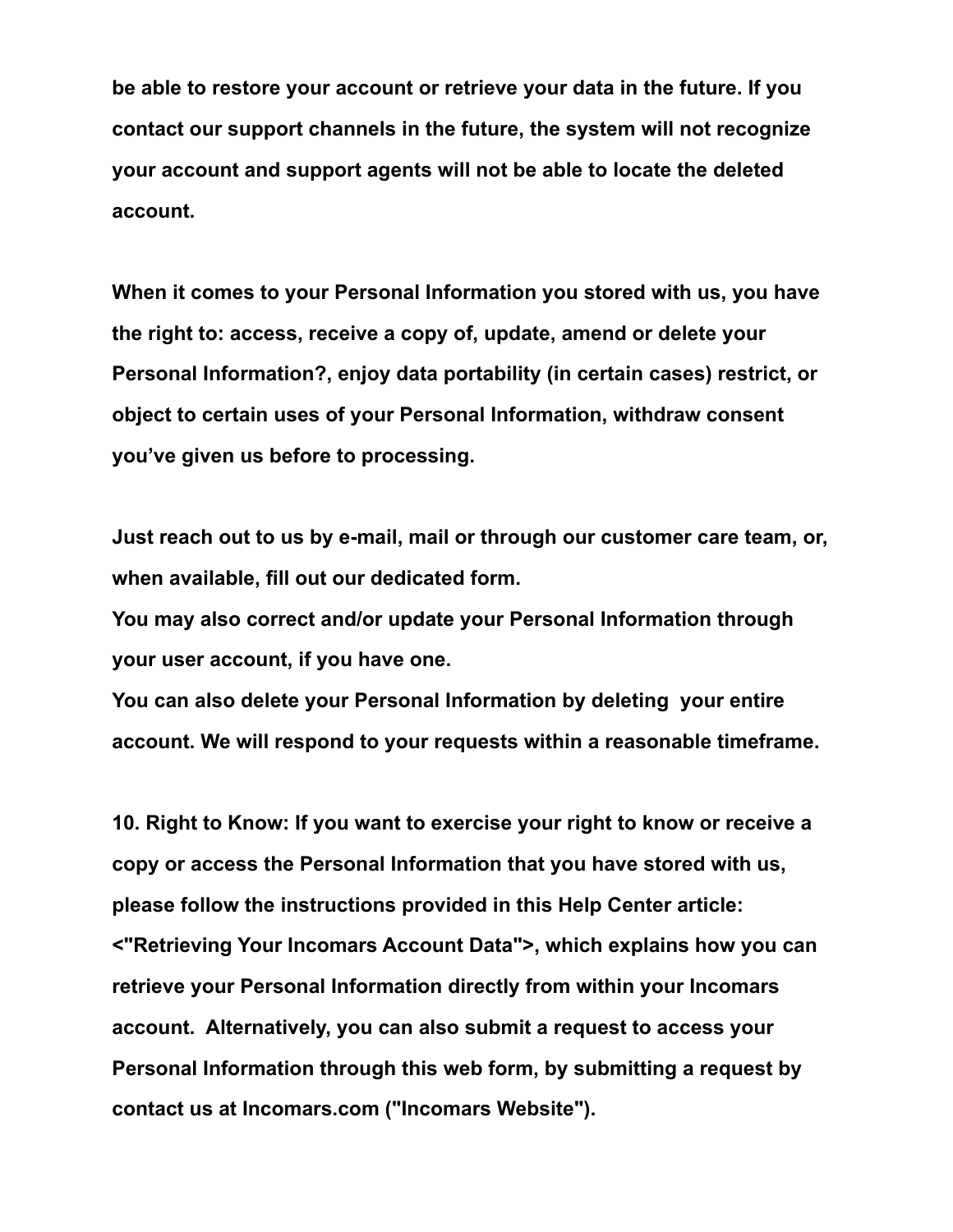**be able to restore your account or retrieve your data in the future. If you contact our support channels in the future, the system will not recognize your account and support agents will not be able to locate the deleted account.**

**When it comes to your Personal Information you stored with us, you have the right to: access, receive a copy of, update, amend or delete your Personal Information?, enjoy data portability (in certain cases) restrict, or object to certain uses of your Personal Information, withdraw consent you've given us before to processing.**

**Just reach out to us by e-mail, mail or through our customer care team, or, when available, fill out our dedicated form.**

**You may also correct and/or update your Personal Information through your user account, if you have one.**

**You can also delete your Personal Information by deleting your entire account. We will respond to your requests within a reasonable timeframe.**

**10. Right to Know: If you want to exercise your right to know or receive a copy or access the Personal Information that you have stored with us, please follow the instructions provided in this Help Center article: <"Retrieving Your Incomars Account Data">, which explains how you can retrieve your Personal Information directly from within your Incomars account. Alternatively, you can also submit a request to access your Personal Information through this web form, by submitting a request by contact us at Incomars.com ("Incomars Website").**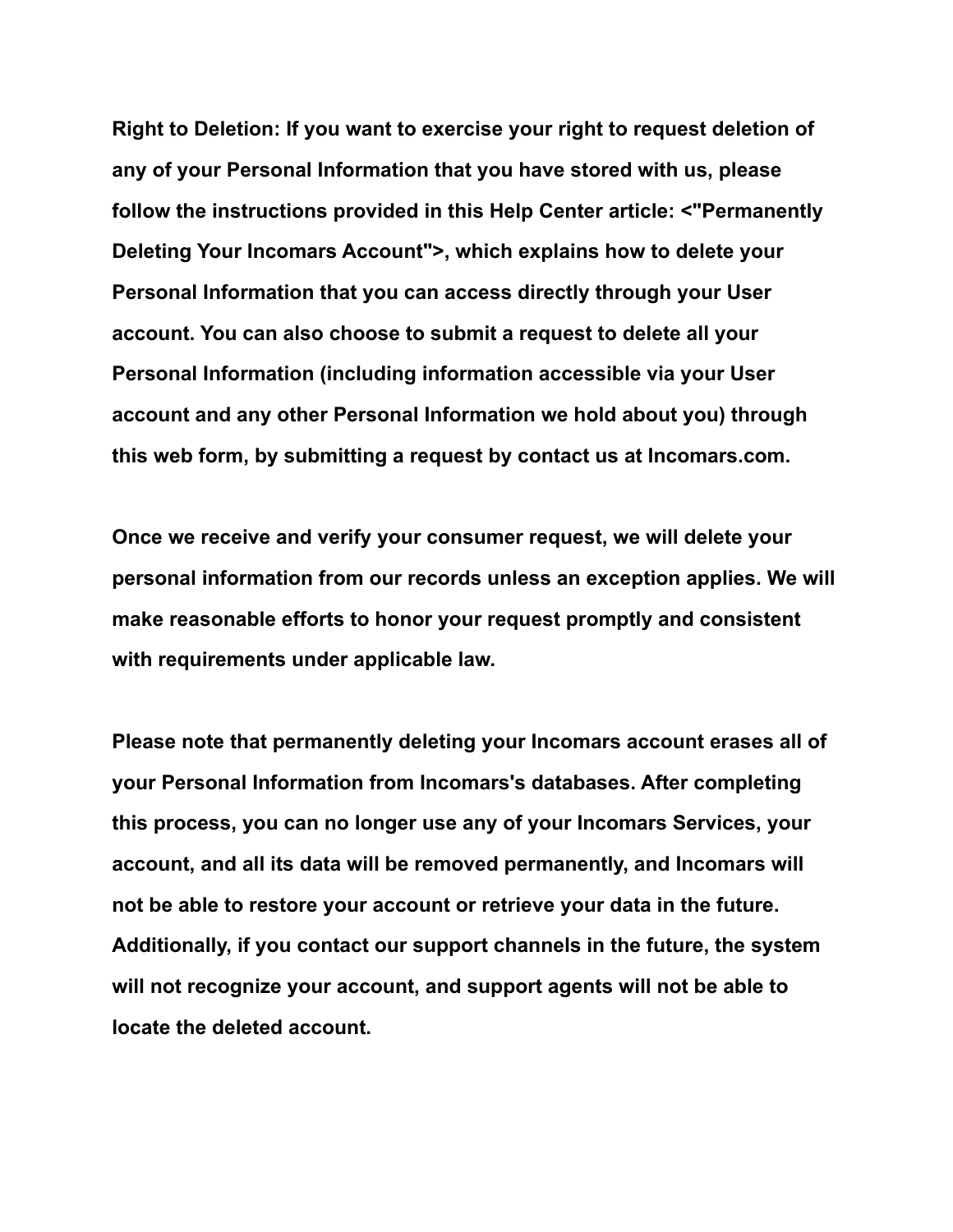**Right to Deletion: If you want to exercise your right to request deletion of any of your Personal Information that you have stored with us, please follow the instructions provided in this Help Center article: <"Permanently Deleting Your Incomars Account">, which explains how to delete your Personal Information that you can access directly through your User account. You can also choose to submit a request to delete all your Personal Information (including information accessible via your User account and any other Personal Information we hold about you) through this web form, by submitting a request by contact us at Incomars.com.**

**Once we receive and verify your consumer request, we will delete your personal information from our records unless an exception applies. We will make reasonable efforts to honor your request promptly and consistent with requirements under applicable law.**

**Please note that permanently deleting your Incomars account erases all of your Personal Information from Incomars's databases. After completing this process, you can no longer use any of your Incomars Services, your account, and all its data will be removed permanently, and Incomars will not be able to restore your account or retrieve your data in the future. Additionally, if you contact our support channels in the future, the system will not recognize your account, and support agents will not be able to locate the deleted account.**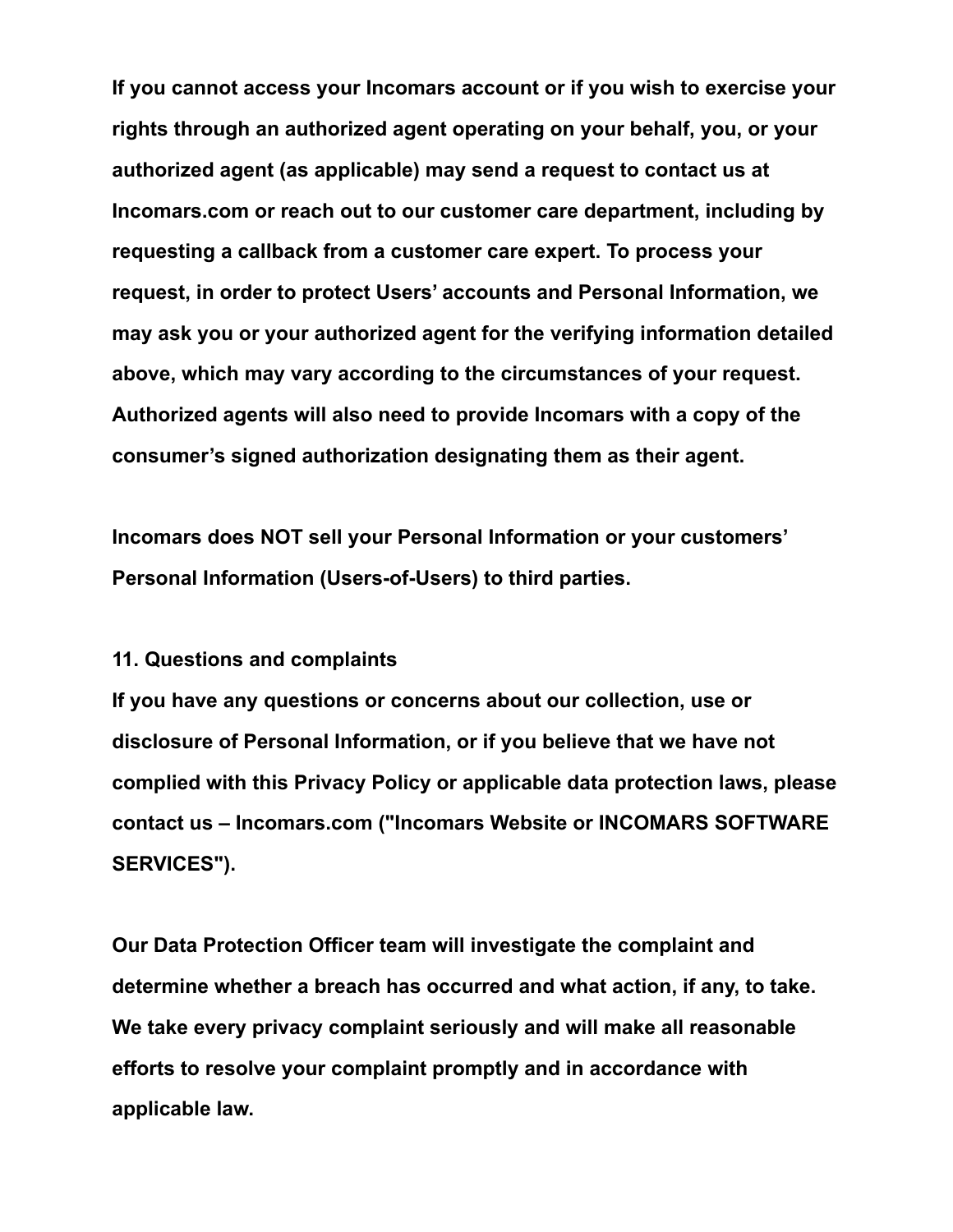**If you cannot access your Incomars account or if you wish to exercise your rights through an authorized agent operating on your behalf, you, or your authorized agent (as applicable) may send a request to contact us at Incomars.com or reach out to our customer care department, including by requesting a callback from a customer care expert. To process your request, in order to protect Users' accounts and Personal Information, we may ask you or your authorized agent for the verifying information detailed above, which may vary according to the circumstances of your request. Authorized agents will also need to provide Incomars with a copy of the consumer's signed authorization designating them as their agent.**

**Incomars does NOT sell your Personal Information or your customers' Personal Information (Users-of-Users) to third parties.**

#### **11. Questions and complaints**

**If you have any questions or concerns about our collection, use or disclosure of Personal Information, or if you believe that we have not complied with this Privacy Policy or applicable data protection laws, please contact us – Incomars.com ("Incomars Website or INCOMARS SOFTWARE SERVICES").**

**Our Data Protection Officer team will investigate the complaint and determine whether a breach has occurred and what action, if any, to take. We take every privacy complaint seriously and will make all reasonable efforts to resolve your complaint promptly and in accordance with applicable law.**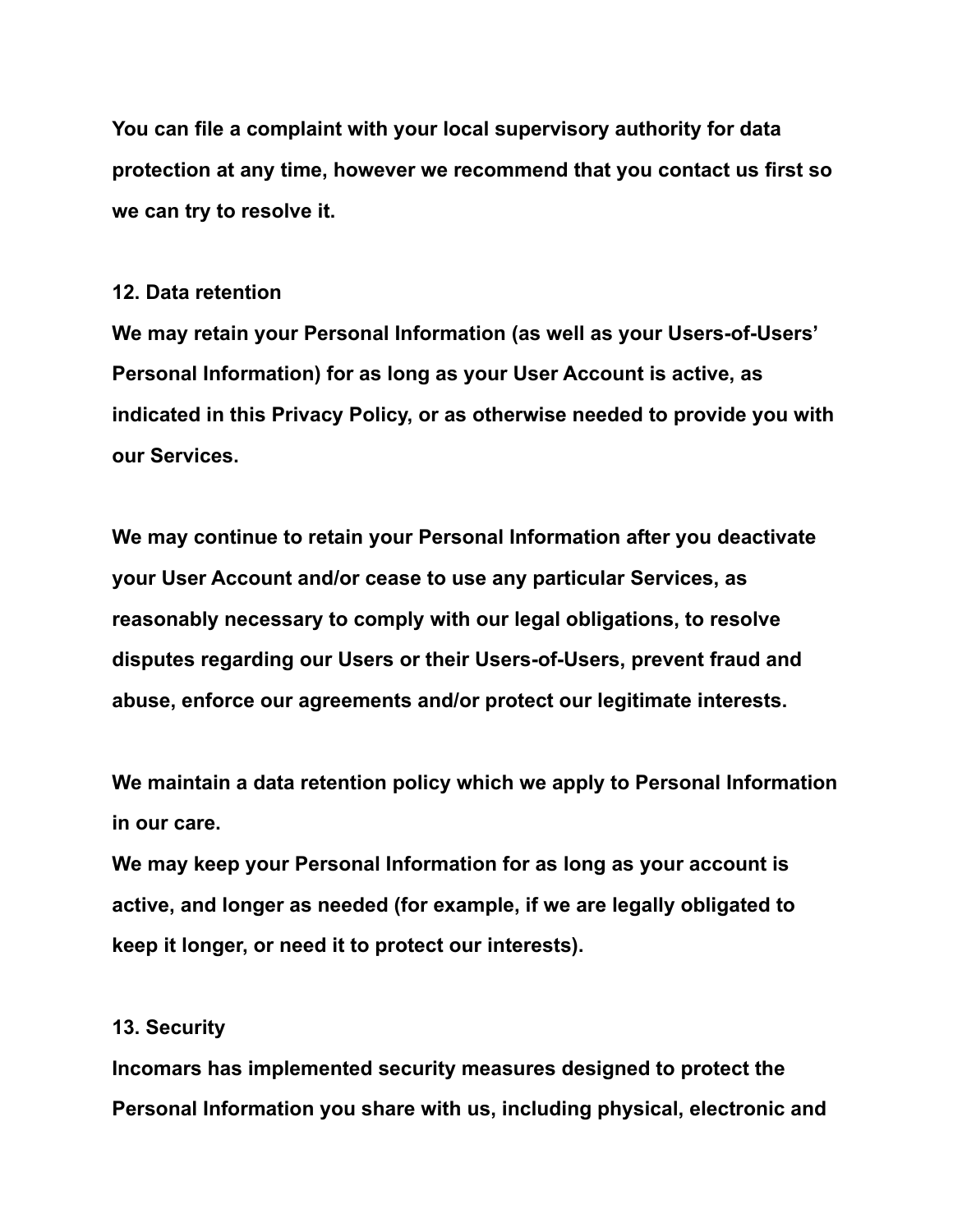**You can file a complaint with your local supervisory authority for data protection at any time, however we recommend that you contact us first so we can try to resolve it.**

#### **12. Data retention**

**We may retain your Personal Information (as well as your Users-of-Users' Personal Information) for as long as your User Account is active, as indicated in this Privacy Policy, or as otherwise needed to provide you with our Services.**

**We may continue to retain your Personal Information after you deactivate your User Account and/or cease to use any particular Services, as reasonably necessary to comply with our legal obligations, to resolve disputes regarding our Users or their Users-of-Users, prevent fraud and abuse, enforce our agreements and/or protect our legitimate interests.**

**We maintain a data retention policy which we apply to Personal Information in our care.**

**We may keep your Personal Information for as long as your account is active, and longer as needed (for example, if we are legally obligated to keep it longer, or need it to protect our interests).**

#### **13. Security**

**Incomars has implemented security measures designed to protect the Personal Information you share with us, including physical, electronic and**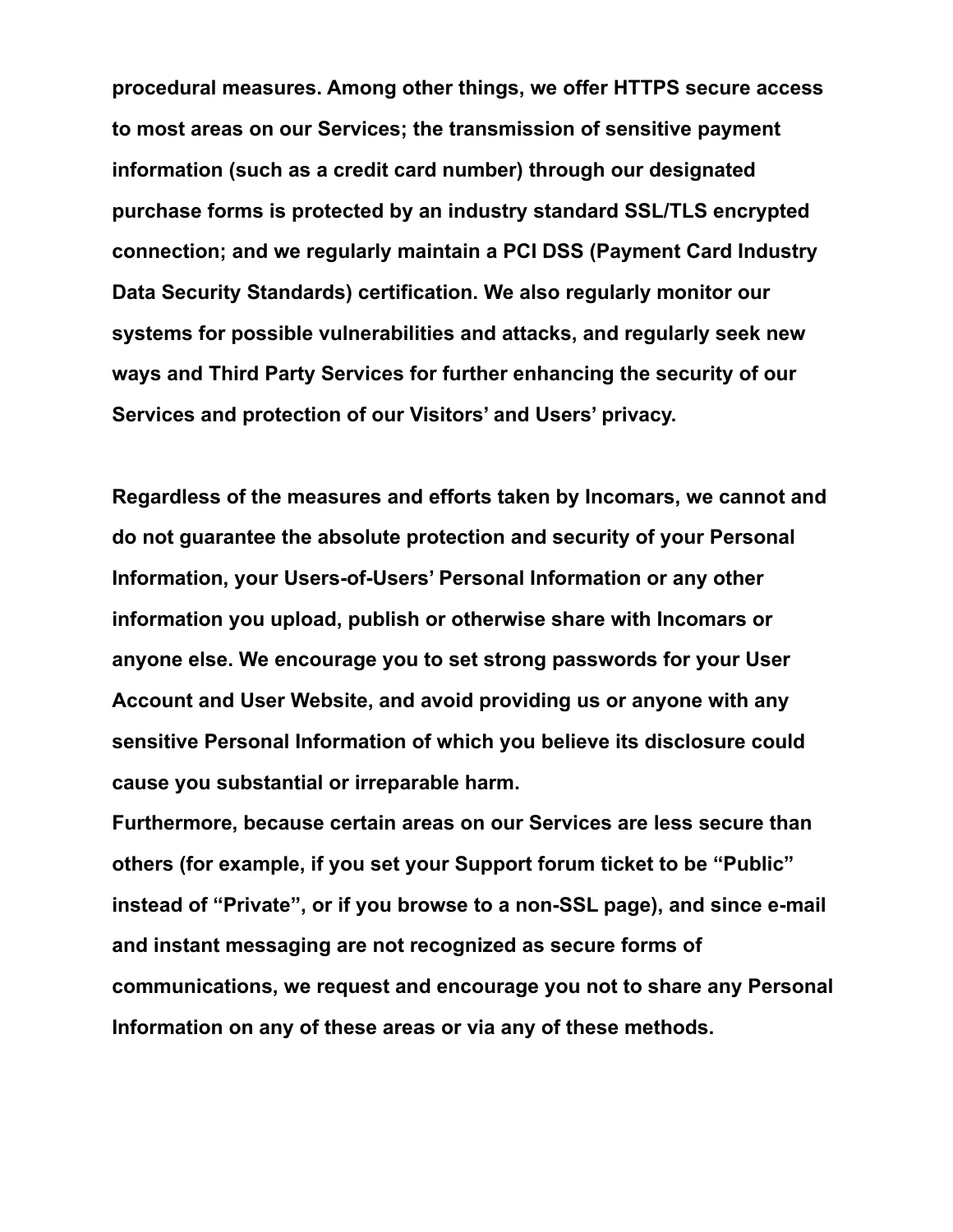**procedural measures. Among other things, we offer HTTPS secure access to most areas on our Services; the transmission of sensitive payment information (such as a credit card number) through our designated purchase forms is protected by an industry standard SSL/TLS encrypted connection; and we regularly maintain a PCI DSS (Payment Card Industry Data Security Standards) certification. We also regularly monitor our systems for possible vulnerabilities and attacks, and regularly seek new ways and Third Party Services for further enhancing the security of our Services and protection of our Visitors' and Users' privacy.**

**Regardless of the measures and efforts taken by Incomars, we cannot and do not guarantee the absolute protection and security of your Personal Information, your Users-of-Users' Personal Information or any other information you upload, publish or otherwise share with Incomars or anyone else. We encourage you to set strong passwords for your User Account and User Website, and avoid providing us or anyone with any sensitive Personal Information of which you believe its disclosure could cause you substantial or irreparable harm.**

**Furthermore, because certain areas on our Services are less secure than others (for example, if you set your Support forum ticket to be "Public" instead of "Private", or if you browse to a non-SSL page), and since e-mail and instant messaging are not recognized as secure forms of communications, we request and encourage you not to share any Personal Information on any of these areas or via any of these methods.**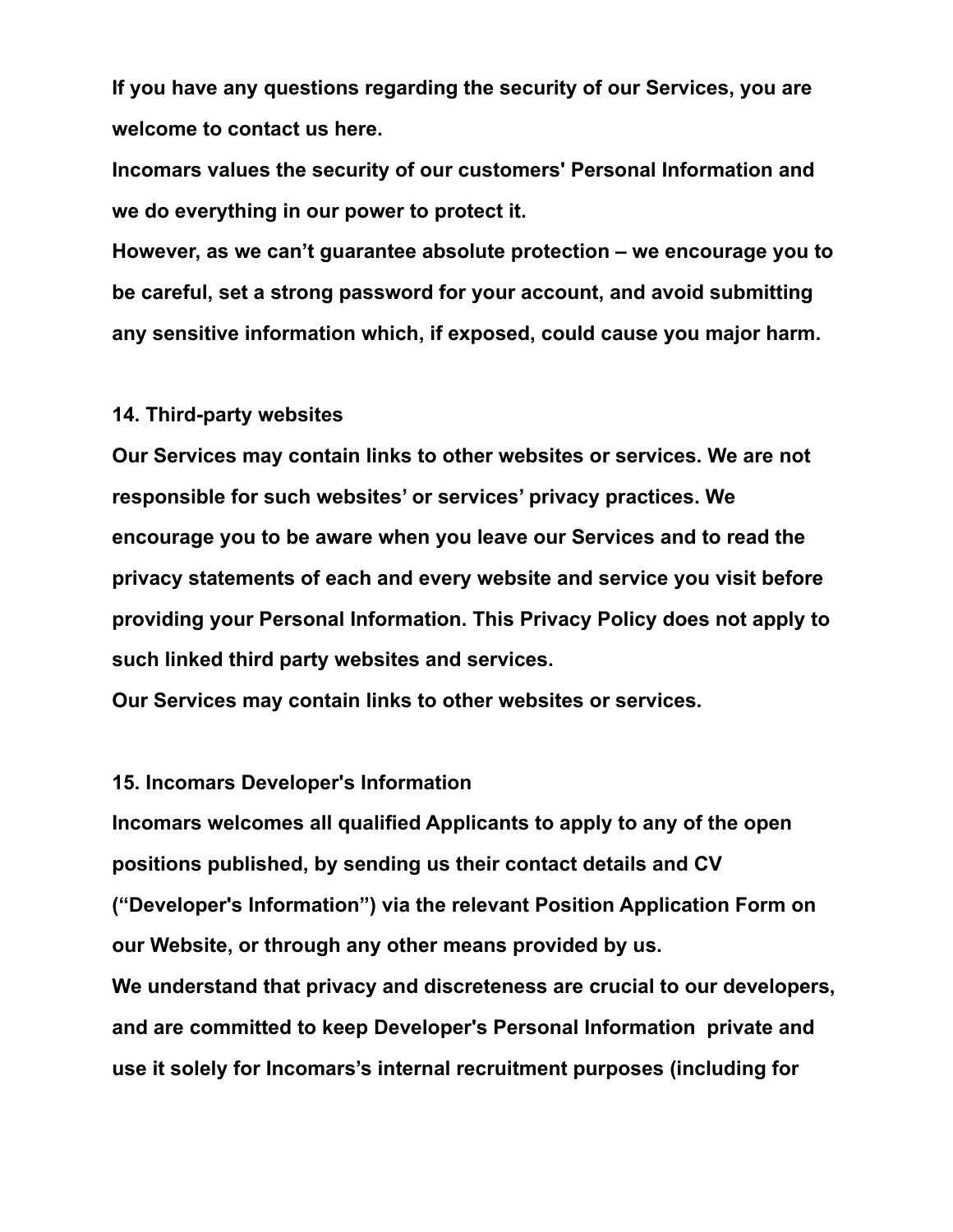**If you have any questions regarding the security of our Services, you are welcome to contact us here.**

**Incomars values the security of our customers' Personal Information and we do everything in our power to protect it.**

**However, as we can't guarantee absolute protection – we encourage you to be careful, set a strong password for your account, and avoid submitting any sensitive information which, if exposed, could cause you major harm.**

#### **14. Third-party websites**

**Our Services may contain links to other websites or services. We are not responsible for such websites' or services' privacy practices. We encourage you to be aware when you leave our Services and to read the privacy statements of each and every website and service you visit before providing your Personal Information. This Privacy Policy does not apply to such linked third party websites and services.**

**Our Services may contain links to other websites or services.**

#### **15. Incomars Developer's Information**

**Incomars welcomes all qualified Applicants to apply to any of the open positions published, by sending us their contact details and CV ("Developer's Information") via the relevant Position Application Form on our Website, or through any other means provided by us.**

**We understand that privacy and discreteness are crucial to our developers, and are committed to keep Developer's Personal Information private and use it solely for Incomars's internal recruitment purposes (including for**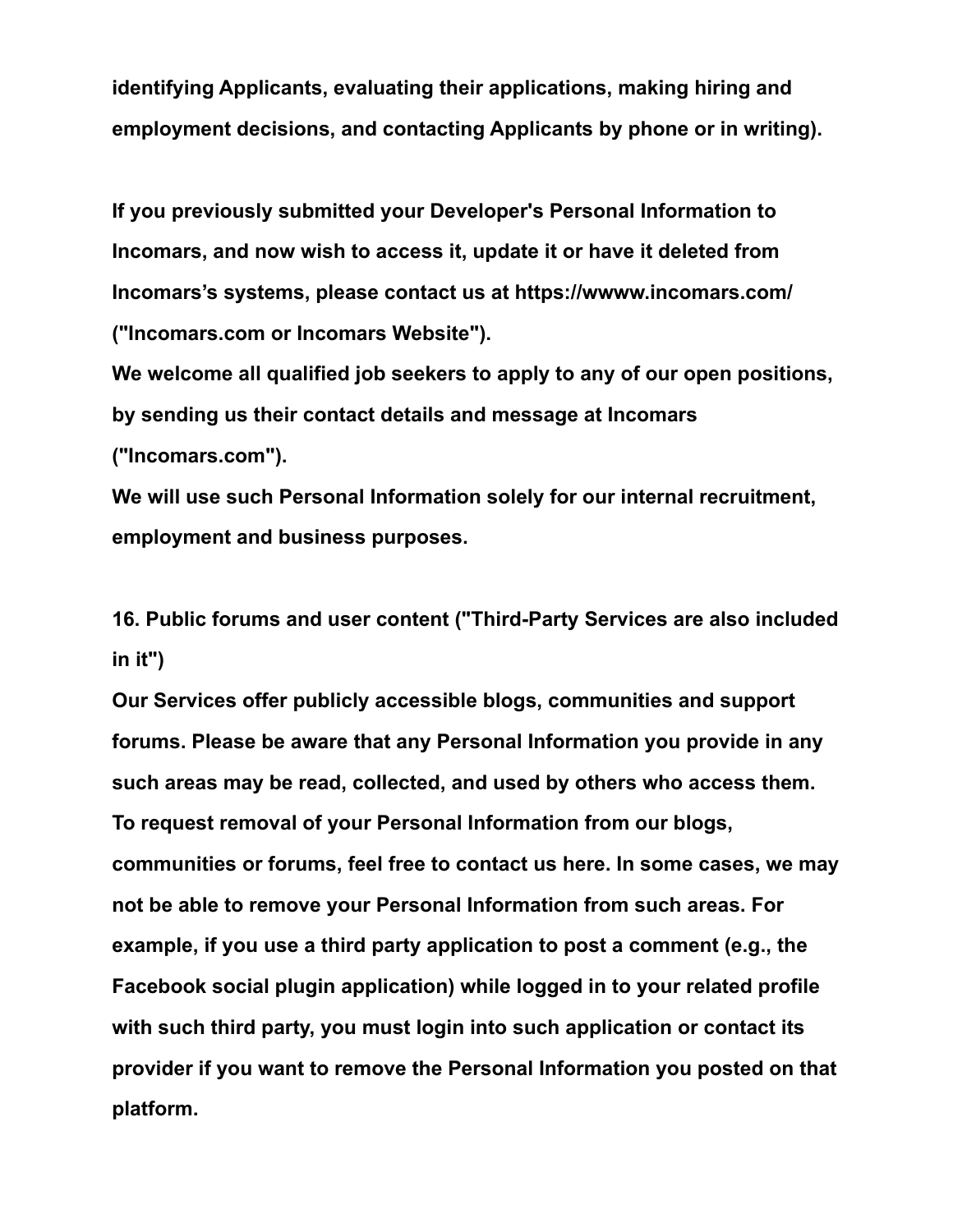**identifying Applicants, evaluating their applications, making hiring and employment decisions, and contacting Applicants by phone or in writing).**

**If you previously submitted your Developer's Personal Information to Incomars, and now wish to access it, update it or have it deleted from Incomars's systems, please contact us at https://wwww.incomars.com/ ("Incomars.com or Incomars Website").**

**We welcome all qualified job seekers to apply to any of our open positions, by sending us their contact details and message at Incomars ("Incomars.com").**

**We will use such Personal Information solely for our internal recruitment, employment and business purposes.**

**16. Public forums and user content ("Third-Party Services are also included in it")**

**Our Services offer publicly accessible blogs, communities and support forums. Please be aware that any Personal Information you provide in any such areas may be read, collected, and used by others who access them. To request removal of your Personal Information from our blogs, communities or forums, feel free to contact us here. In some cases, we may not be able to remove your Personal Information from such areas. For example, if you use a third party application to post a comment (e.g., the Facebook social plugin application) while logged in to your related profile with such third party, you must login into such application or contact its provider if you want to remove the Personal Information you posted on that platform.**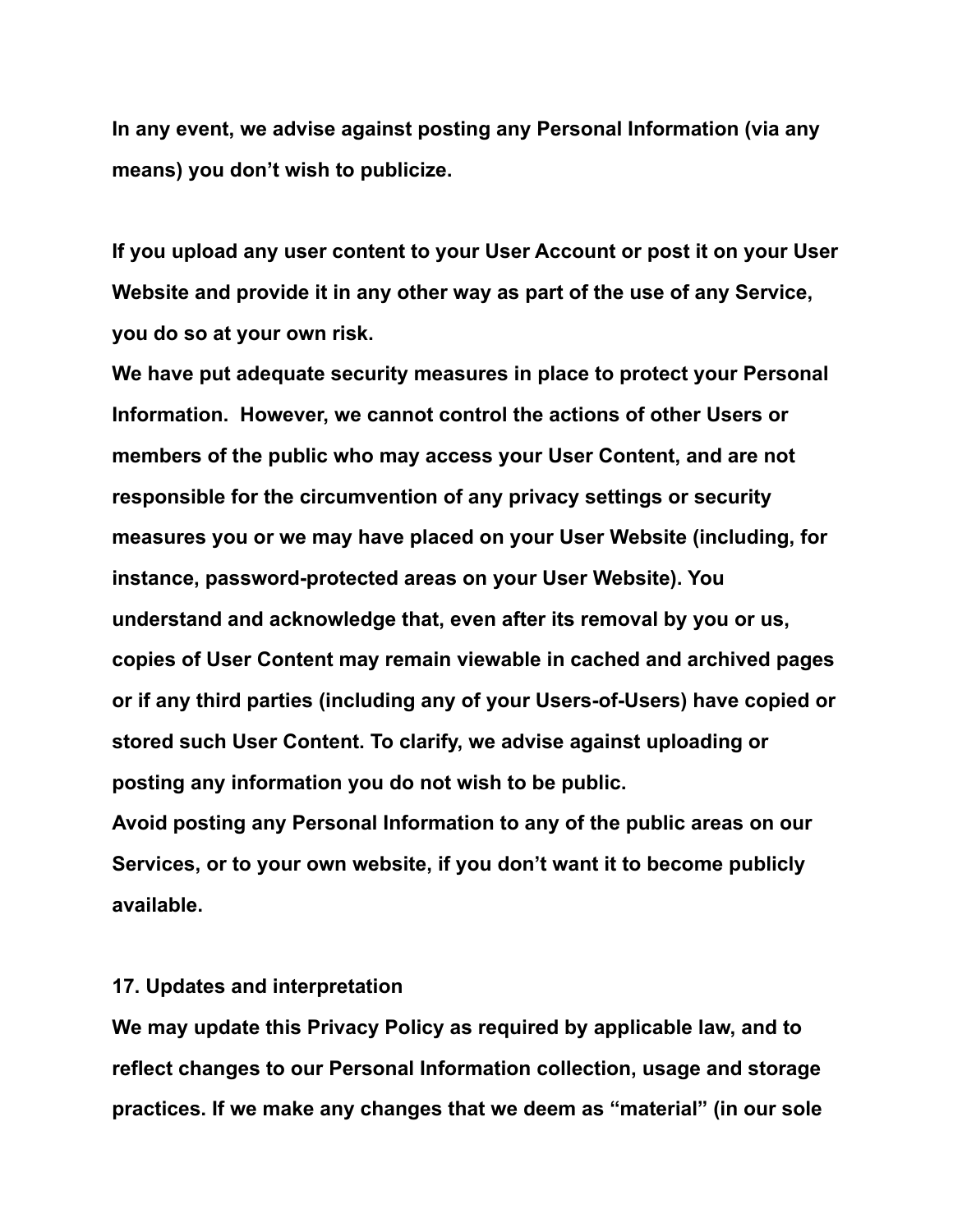**In any event, we advise against posting any Personal Information (via any means) you don't wish to publicize.**

**If you upload any user content to your User Account or post it on your User Website and provide it in any other way as part of the use of any Service, you do so at your own risk.**

**We have put adequate security measures in place to protect your Personal Information. However, we cannot control the actions of other Users or members of the public who may access your User Content, and are not responsible for the circumvention of any privacy settings or security measures you or we may have placed on your User Website (including, for instance, password-protected areas on your User Website). You understand and acknowledge that, even after its removal by you or us, copies of User Content may remain viewable in cached and archived pages or if any third parties (including any of your Users-of-Users) have copied or stored such User Content. To clarify, we advise against uploading or posting any information you do not wish to be public.**

**Avoid posting any Personal Information to any of the public areas on our Services, or to your own website, if you don't want it to become publicly available.**

#### **17. Updates and interpretation**

**We may update this Privacy Policy as required by applicable law, and to reflect changes to our Personal Information collection, usage and storage practices. If we make any changes that we deem as "material" (in our sole**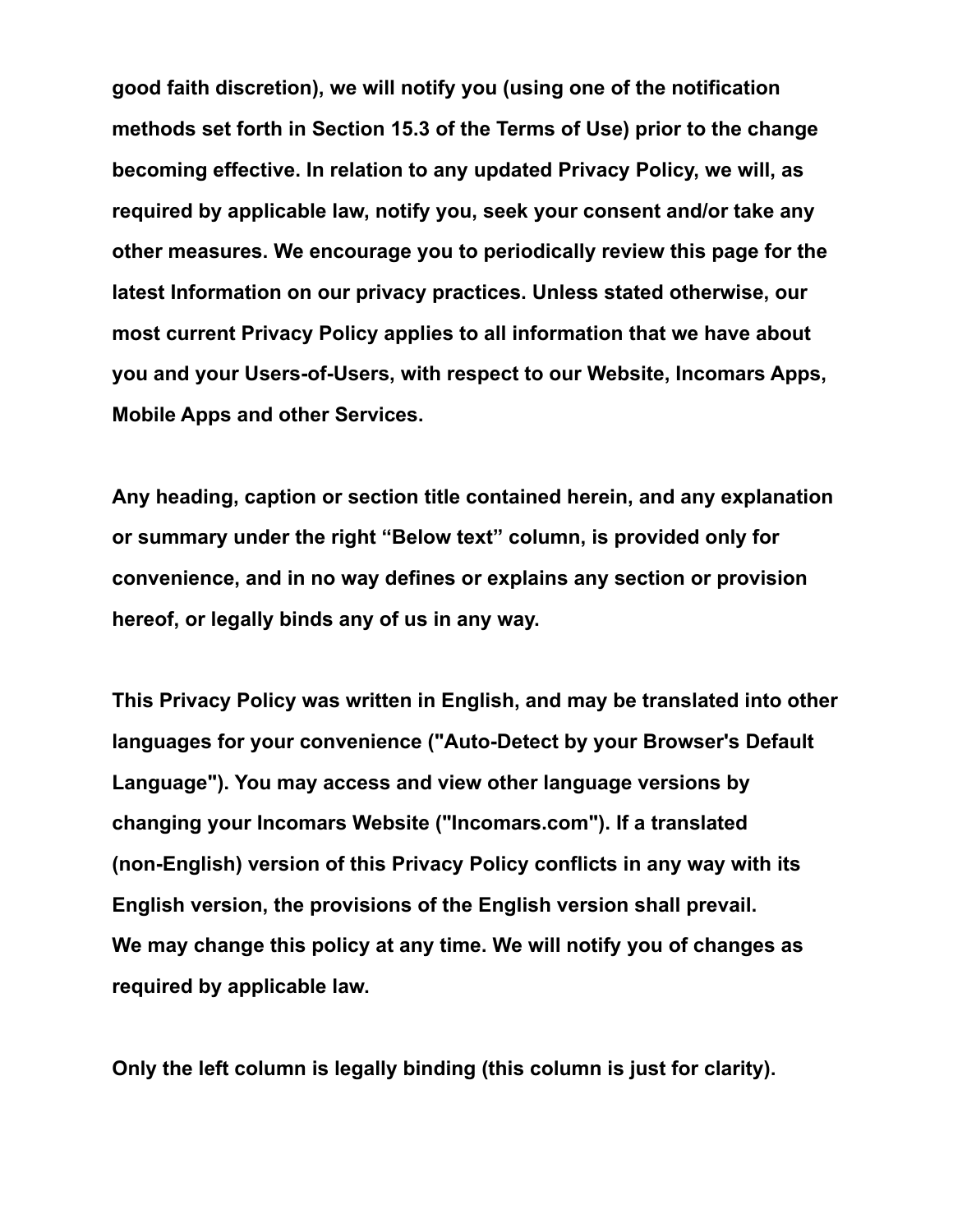**good faith discretion), we will notify you (using one of the notification methods set forth in Section 15.3 of the Terms of Use) prior to the change becoming effective. In relation to any updated Privacy Policy, we will, as required by applicable law, notify you, seek your consent and/or take any other measures. We encourage you to periodically review this page for the latest Information on our privacy practices. Unless stated otherwise, our most current Privacy Policy applies to all information that we have about you and your Users-of-Users, with respect to our Website, Incomars Apps, Mobile Apps and other Services.**

**Any heading, caption or section title contained herein, and any explanation or summary under the right "Below text" column, is provided only for convenience, and in no way defines or explains any section or provision hereof, or legally binds any of us in any way.**

**This Privacy Policy was written in English, and may be translated into other languages for your convenience ("Auto-Detect by your Browser's Default Language"). You may access and view other language versions by changing your Incomars Website ("Incomars.com"). If a translated (non-English) version of this Privacy Policy conflicts in any way with its English version, the provisions of the English version shall prevail. We may change this policy at any time. We will notify you of changes as required by applicable law.**

**Only the left column is legally binding (this column is just for clarity).**